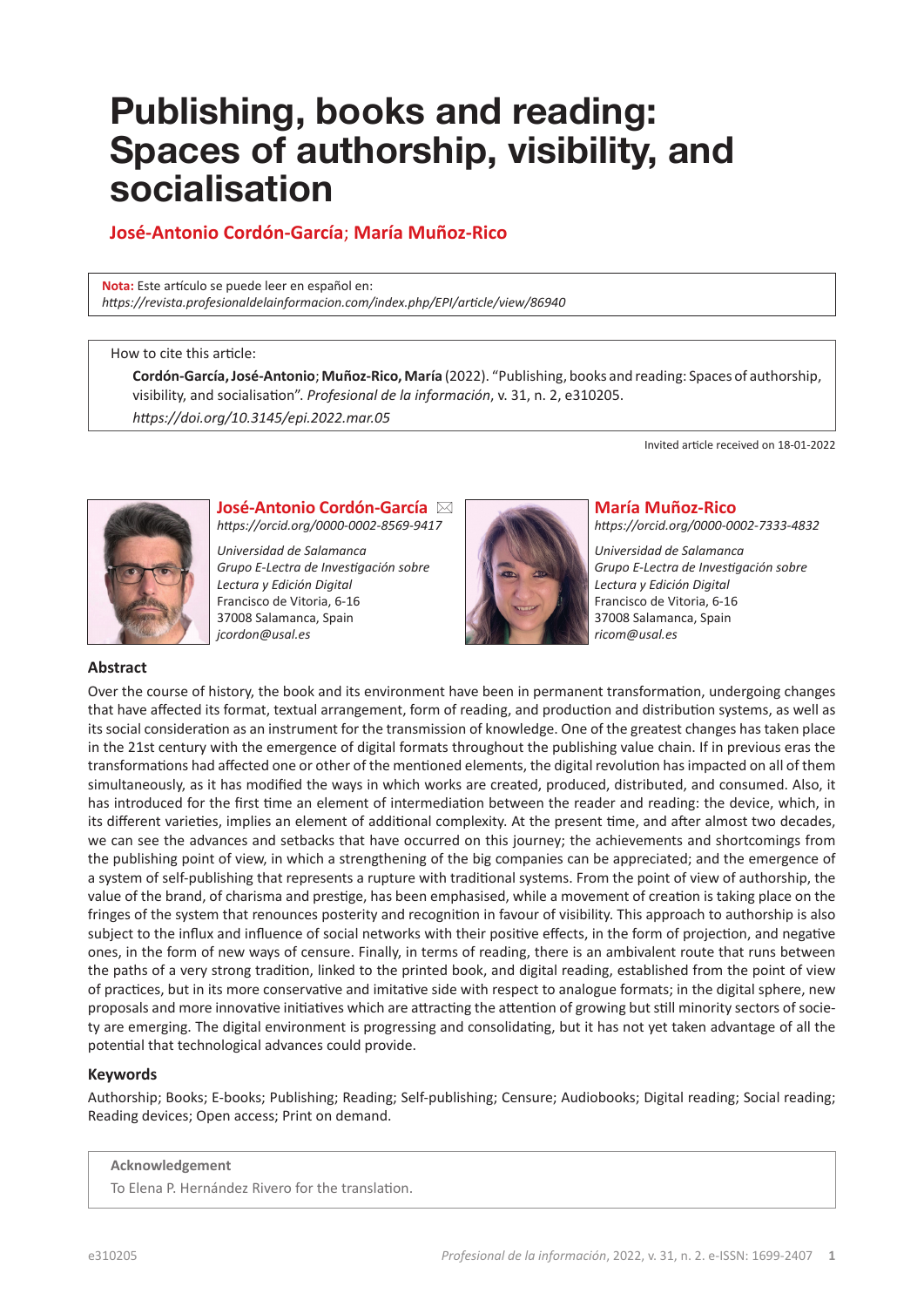# **Publishing, books and reading: Spaces of authorship, visibility, and socialisation**

# **José-Antonio Cordón-García**; **María Muñoz-Rico**

**Nota:** Este artículo se puede leer en español en: *[https://revista.profesionaldelainformacion.com/index.php/EPI/article/view/8](https://revista.profesionaldelainformacion.com/index.php/EPI/article/view/86940)6940*

#### How to cite this article:

**Cordón-García, José-Antonio**; **Muñoz-Rico, María** (2022). "Publishing, books and reading: Spaces of authorship, visibility, and socialisation". *Profesional de la información*, v. 31, n. 2, e310205.

*[https://doi.org/10.3145/epi.2022.mar.](https://doi.org/10.3145/epi.2022.mar.05)05*

Invited article received on 18-01-2022



**José-Antonio Cordón-García** ⊠ *<https://orcid.org/0000-0002-8569-9417>*

*Universidad de Salamanca Grupo E-Lectra de Investigación sobre Lectura y Edición Digital* Francisco de Vitoria, 6-16 37008 Salamanca, Spain *[jcordon@usal.es](mailto:jcordon@usal.es)*



#### **María Muñoz-Rico**

*<https://orcid.org/0000-0002-7333-4832>*

*Universidad de Salamanca Grupo E-Lectra de Investigación sobre Lectura y Edición Digital* Francisco de Vitoria, 6-16 37008 Salamanca, Spain *[ricom@usal.es](mailto:ricom@usal.es)*

#### **Abstract**

Over the course of history, the book and its environment have been in permanent transformation, undergoing changes that have affected its format, textual arrangement, form of reading, and production and distribution systems, as well as its social consideration as an instrument for the transmission of knowledge. One of the greatest changes has taken place in the 21st century with the emergence of digital formats throughout the publishing value chain. If in previous eras the transformations had affected one or other of the mentioned elements, the digital revolution has impacted on all of them simultaneously, as it has modified the ways in which works are created, produced, distributed, and consumed. Also, it has introduced for the first time an element of intermediation between the reader and reading: the device, which, in its different varieties, implies an element of additional complexity. At the present time, and after almost two decades, we can see the advances and setbacks that have occurred on this journey; the achievements and shortcomings from the publishing point of view, in which a strengthening of the big companies can be appreciated; and the emergence of a system of self-publishing that represents a rupture with traditional systems. From the point of view of authorship, the value of the brand, of charisma and prestige, has been emphasised, while a movement of creation is taking place on the fringes of the system that renounces posterity and recognition in favour of visibility. This approach to authorship is also subject to the influx and influence of social networks with their positive effects, in the form of projection, and negative ones, in the form of new ways of censure. Finally, in terms of reading, there is an ambivalent route that runs between the paths of a very strong tradition, linked to the printed book, and digital reading, established from the point of view of practices, but in its more conservative and imitative side with respect to analogue formats; in the digital sphere, new proposals and more innovative initiatives which are attracting the attention of growing but still minority sectors of society are emerging. The digital environment is progressing and consolidating, but it has not yet taken advantage of all the potential that technological advances could provide.

#### **Keywords**

Authorship; Books; E-books; Publishing; Reading; Self-publishing; Censure; Audiobooks; Digital reading; Social reading; Reading devices; Open access; Print on demand.

#### **Acknowledgement**

To Elena P. Hernández Rivero for the translation.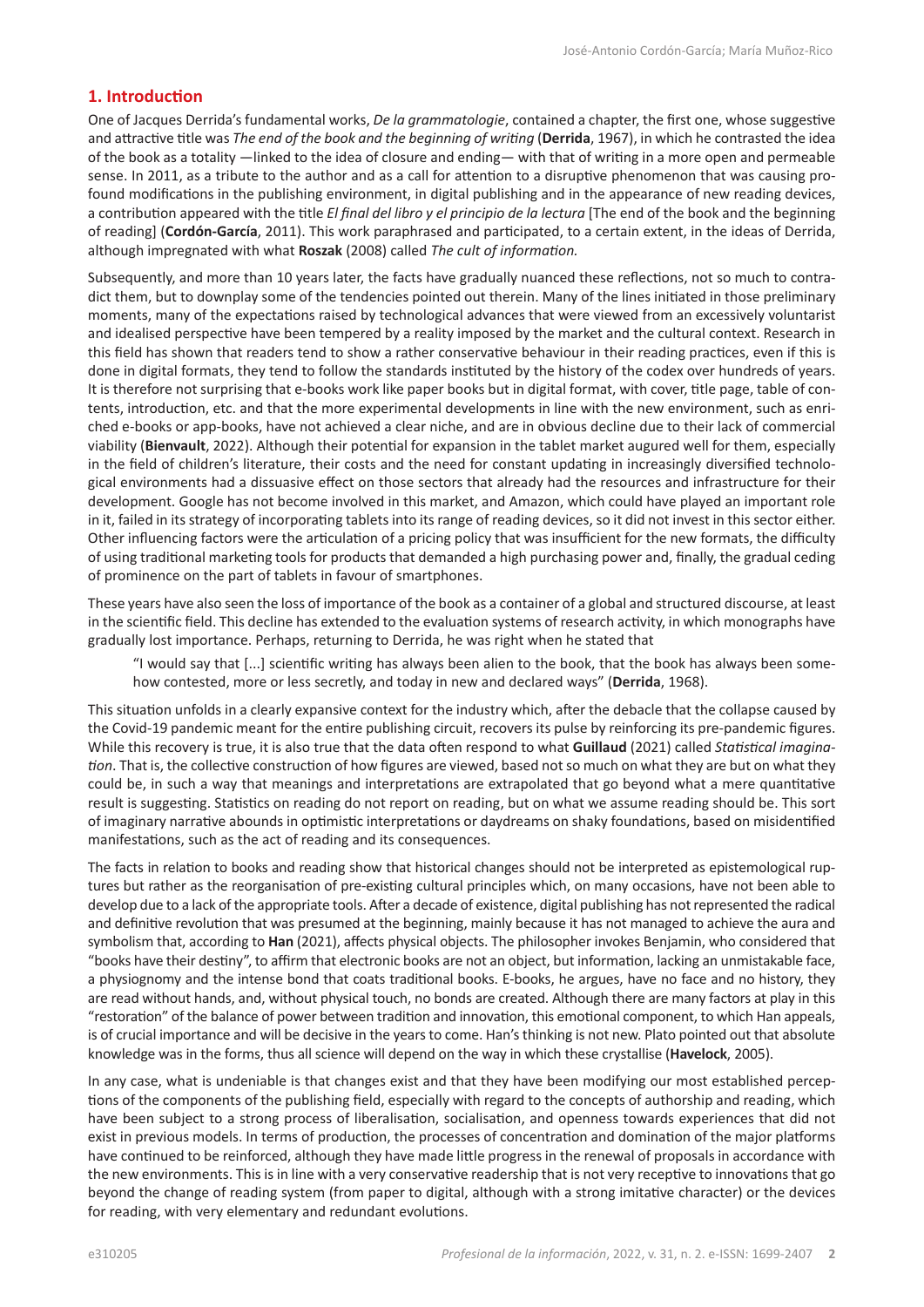### **1. Introduction**

One of Jacques Derrida's fundamental works, *De la grammatologie*, contained a chapter, the first one, whose suggestive and attractive title was *The end of the book and the beginning of writing* (**Derrida**, 1967), in which he contrasted the idea of the book as a totality —linked to the idea of closure and ending— with that of writing in a more open and permeable sense. In 2011, as a tribute to the author and as a call for attention to a disruptive phenomenon that was causing profound modifications in the publishing environment, in digital publishing and in the appearance of new reading devices, a contribution appeared with the title *El final del libro y el principio de la lectura* [The end of the book and the beginning of reading] (**Cordón-García**, 2011). This work paraphrased and participated, to a certain extent, in the ideas of Derrida, although impregnated with what **Roszak** (2008) called *The cult of information.*

Subsequently, and more than 10 years later, the facts have gradually nuanced these reflections, not so much to contradict them, but to downplay some of the tendencies pointed out therein. Many of the lines initiated in those preliminary moments, many of the expectations raised by technological advances that were viewed from an excessively voluntarist and idealised perspective have been tempered by a reality imposed by the market and the cultural context. Research in this field has shown that readers tend to show a rather conservative behaviour in their reading practices, even if this is done in digital formats, they tend to follow the standards instituted by the history of the codex over hundreds of years. It is therefore not surprising that e-books work like paper books but in digital format, with cover, title page, table of contents, introduction, etc. and that the more experimental developments in line with the new environment, such as enriched e-books or app-books, have not achieved a clear niche, and are in obvious decline due to their lack of commercial viability (**Bienvault**, 2022). Although their potential for expansion in the tablet market augured well for them, especially in the field of children's literature, their costs and the need for constant updating in increasingly diversified technological environments had a dissuasive effect on those sectors that already had the resources and infrastructure for their development. Google has not become involved in this market, and Amazon, which could have played an important role in it, failed in its strategy of incorporating tablets into its range of reading devices, so it did not invest in this sector either. Other influencing factors were the articulation of a pricing policy that was insufficient for the new formats, the difficulty of using traditional marketing tools for products that demanded a high purchasing power and, finally, the gradual ceding of prominence on the part of tablets in favour of smartphones.

These years have also seen the loss of importance of the book as a container of a global and structured discourse, at least in the scientific field. This decline has extended to the evaluation systems of research activity, in which monographs have gradually lost importance. Perhaps, returning to Derrida, he was right when he stated that

"I would say that [...] scientific writing has always been alien to the book, that the book has always been somehow contested, more or less secretly, and today in new and declared ways" (**Derrida**, 1968).

This situation unfolds in a clearly expansive context for the industry which, after the debacle that the collapse caused by the Covid-19 pandemic meant for the entire publishing circuit, recovers its pulse by reinforcing its pre-pandemic figures. While this recovery is true, it is also true that the data often respond to what **Guillaud** (2021) called *Statistical imagination*. That is, the collective construction of how figures are viewed, based not so much on what they are but on what they could be, in such a way that meanings and interpretations are extrapolated that go beyond what a mere quantitative result is suggesting. Statistics on reading do not report on reading, but on what we assume reading should be. This sort of imaginary narrative abounds in optimistic interpretations or daydreams on shaky foundations, based on misidentified manifestations, such as the act of reading and its consequences.

The facts in relation to books and reading show that historical changes should not be interpreted as epistemological ruptures but rather as the reorganisation of pre-existing cultural principles which, on many occasions, have not been able to develop due to a lack of the appropriate tools. After a decade of existence, digital publishing has not represented the radical and definitive revolution that was presumed at the beginning, mainly because it has not managed to achieve the aura and symbolism that, according to **Han** (2021), affects physical objects. The philosopher invokes Benjamin, who considered that "books have their destiny", to affirm that electronic books are not an object, but information, lacking an unmistakable face, a physiognomy and the intense bond that coats traditional books. E-books, he argues, have no face and no history, they are read without hands, and, without physical touch, no bonds are created. Although there are many factors at play in this "restoration" of the balance of power between tradition and innovation, this emotional component, to which Han appeals, is of crucial importance and will be decisive in the years to come. Han's thinking is not new. Plato pointed out that absolute knowledge was in the forms, thus all science will depend on the way in which these crystallise (**Havelock**, 2005).

In any case, what is undeniable is that changes exist and that they have been modifying our most established perceptions of the components of the publishing field, especially with regard to the concepts of authorship and reading, which have been subject to a strong process of liberalisation, socialisation, and openness towards experiences that did not exist in previous models. In terms of production, the processes of concentration and domination of the major platforms have continued to be reinforced, although they have made little progress in the renewal of proposals in accordance with the new environments. This is in line with a very conservative readership that is not very receptive to innovations that go beyond the change of reading system (from paper to digital, although with a strong imitative character) or the devices for reading, with very elementary and redundant evolutions.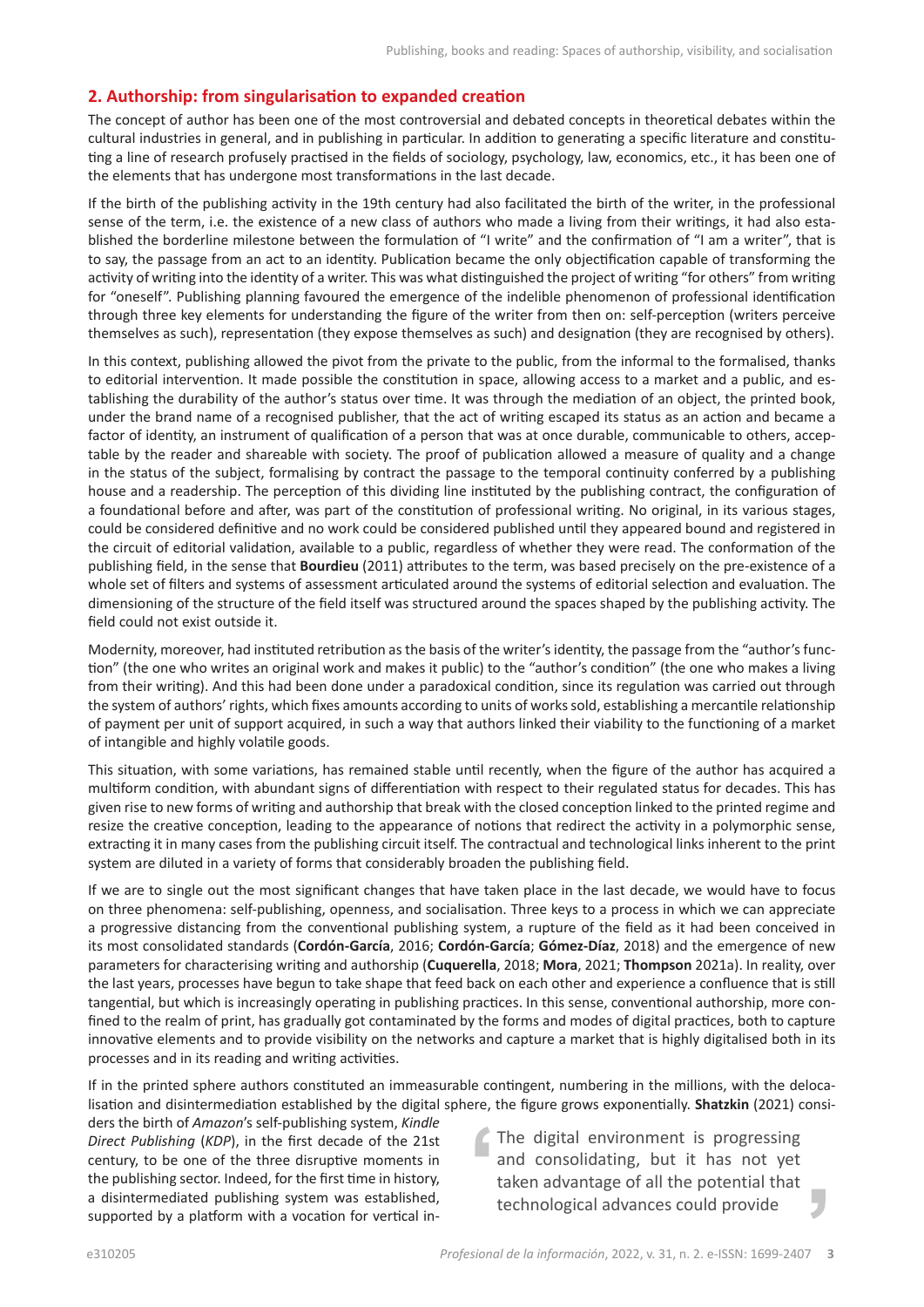### **2. Authorship: from singularisation to expanded creation**

The concept of author has been one of the most controversial and debated concepts in theoretical debates within the cultural industries in general, and in publishing in particular. In addition to generating a specific literature and constituting a line of research profusely practised in the fields of sociology, psychology, law, economics, etc., it has been one of the elements that has undergone most transformations in the last decade.

If the birth of the publishing activity in the 19th century had also facilitated the birth of the writer, in the professional sense of the term, i.e. the existence of a new class of authors who made a living from their writings, it had also established the borderline milestone between the formulation of "I write" and the confirmation of "I am a writer", that is to say, the passage from an act to an identity. Publication became the only objectification capable of transforming the activity of writing into the identity of a writer. This was what distinguished the project of writing "for others" from writing for "oneself". Publishing planning favoured the emergence of the indelible phenomenon of professional identification through three key elements for understanding the figure of the writer from then on: self-perception (writers perceive themselves as such), representation (they expose themselves as such) and designation (they are recognised by others).

In this context, publishing allowed the pivot from the private to the public, from the informal to the formalised, thanks to editorial intervention. It made possible the constitution in space, allowing access to a market and a public, and establishing the durability of the author's status over time. It was through the mediation of an object, the printed book, under the brand name of a recognised publisher, that the act of writing escaped its status as an action and became a factor of identity, an instrument of qualification of a person that was at once durable, communicable to others, acceptable by the reader and shareable with society. The proof of publication allowed a measure of quality and a change in the status of the subject, formalising by contract the passage to the temporal continuity conferred by a publishing house and a readership. The perception of this dividing line instituted by the publishing contract, the configuration of a foundational before and after, was part of the constitution of professional writing. No original, in its various stages, could be considered definitive and no work could be considered published until they appeared bound and registered in the circuit of editorial validation, available to a public, regardless of whether they were read. The conformation of the publishing field, in the sense that **Bourdieu** (2011) attributes to the term, was based precisely on the pre-existence of a whole set of filters and systems of assessment articulated around the systems of editorial selection and evaluation. The dimensioning of the structure of the field itself was structured around the spaces shaped by the publishing activity. The field could not exist outside it.

Modernity, moreover, had instituted retribution as the basis of the writer's identity, the passage from the "author's function" (the one who writes an original work and makes it public) to the "author's condition" (the one who makes a living from their writing). And this had been done under a paradoxical condition, since its regulation was carried out through the system of authors' rights, which fixes amounts according to units of works sold, establishing a mercantile relationship of payment per unit of support acquired, in such a way that authors linked their viability to the functioning of a market of intangible and highly volatile goods.

This situation, with some variations, has remained stable until recently, when the figure of the author has acquired a multiform condition, with abundant signs of differentiation with respect to their regulated status for decades. This has given rise to new forms of writing and authorship that break with the closed conception linked to the printed regime and resize the creative conception, leading to the appearance of notions that redirect the activity in a polymorphic sense, extracting it in many cases from the publishing circuit itself. The contractual and technological links inherent to the print system are diluted in a variety of forms that considerably broaden the publishing field.

If we are to single out the most significant changes that have taken place in the last decade, we would have to focus on three phenomena: self-publishing, openness, and socialisation. Three keys to a process in which we can appreciate a progressive distancing from the conventional publishing system, a rupture of the field as it had been conceived in its most consolidated standards (**Cordón-García**, 2016; **Cordón-García**; **Gómez-Díaz**, 2018) and the emergence of new parameters for characterising writing and authorship (**Cuquerella**, 2018; **Mora**, 2021; **Thompson** 2021a). In reality, over the last years, processes have begun to take shape that feed back on each other and experience a confluence that is still tangential, but which is increasingly operating in publishing practices. In this sense, conventional authorship, more confined to the realm of print, has gradually got contaminated by the forms and modes of digital practices, both to capture innovative elements and to provide visibility on the networks and capture a market that is highly digitalised both in its processes and in its reading and writing activities.

If in the printed sphere authors constituted an immeasurable contingent, numbering in the millions, with the delocalisation and disintermediation established by the digital sphere, the figure grows exponentially. **Shatzkin** (2021) consi-

ders the birth of *Amazon*'s self-publishing system, *Kindle Direct Publishing* (*KDP*), in the first decade of the 21st century, to be one of the three disruptive moments in the publishing sector. Indeed, for the first time in history, a disintermediated publishing system was established, supported by a platform with a vocation for vertical in-

The digital environment is progressing and consolidating, but it has not yet taken advantage of all the potential that technological advances could provide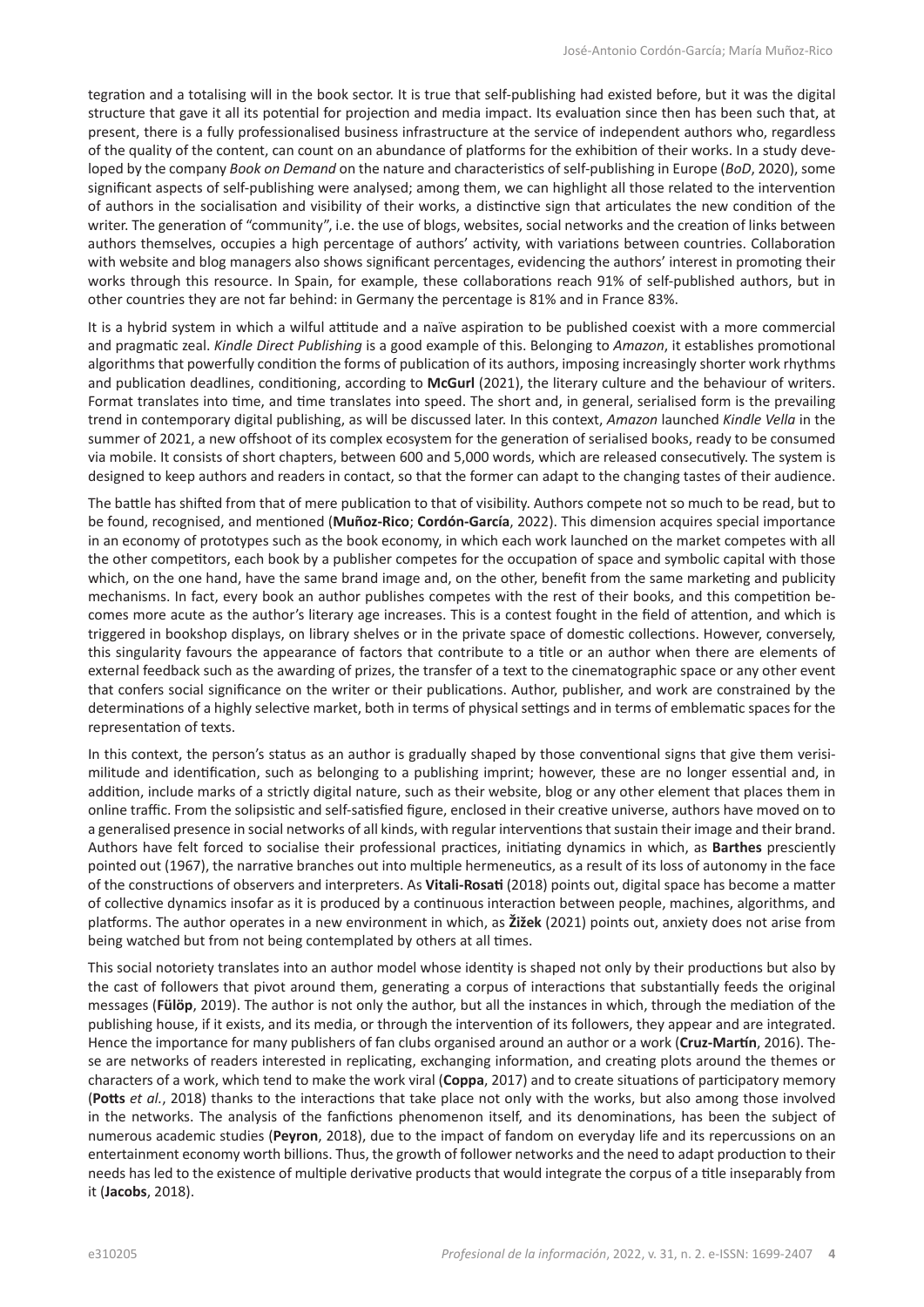tegration and a totalising will in the book sector. It is true that self-publishing had existed before, but it was the digital structure that gave it all its potential for projection and media impact. Its evaluation since then has been such that, at present, there is a fully professionalised business infrastructure at the service of independent authors who, regardless of the quality of the content, can count on an abundance of platforms for the exhibition of their works. In a study developed by the company *Book on Demand* on the nature and characteristics of self-publishing in Europe (*BoD*, 2020), some significant aspects of self-publishing were analysed; among them, we can highlight all those related to the intervention of authors in the socialisation and visibility of their works, a distinctive sign that articulates the new condition of the writer. The generation of "community", i.e. the use of blogs, websites, social networks and the creation of links between authors themselves, occupies a high percentage of authors' activity, with variations between countries. Collaboration with website and blog managers also shows significant percentages, evidencing the authors' interest in promoting their works through this resource. In Spain, for example, these collaborations reach 91% of self-published authors, but in other countries they are not far behind: in Germany the percentage is 81% and in France 83%.

It is a hybrid system in which a wilful attitude and a naïve aspiration to be published coexist with a more commercial and pragmatic zeal. *Kindle Direct Publishing* is a good example of this. Belonging to *Amazon*, it establishes promotional algorithms that powerfully condition the forms of publication of its authors, imposing increasingly shorter work rhythms and publication deadlines, conditioning, according to **McGurl** (2021), the literary culture and the behaviour of writers. Format translates into time, and time translates into speed. The short and, in general, serialised form is the prevailing trend in contemporary digital publishing, as will be discussed later. In this context, *Amazon* launched *Kindle Vella* in the summer of 2021, a new offshoot of its complex ecosystem for the generation of serialised books, ready to be consumed via mobile. It consists of short chapters, between 600 and 5,000 words, which are released consecutively. The system is designed to keep authors and readers in contact, so that the former can adapt to the changing tastes of their audience.

The battle has shifted from that of mere publication to that of visibility. Authors compete not so much to be read, but to be found, recognised, and mentioned (**Muñoz-Rico**; **Cordón-García**, 2022). This dimension acquires special importance in an economy of prototypes such as the book economy, in which each work launched on the market competes with all the other competitors, each book by a publisher competes for the occupation of space and symbolic capital with those which, on the one hand, have the same brand image and, on the other, benefit from the same marketing and publicity mechanisms. In fact, every book an author publishes competes with the rest of their books, and this competition becomes more acute as the author's literary age increases. This is a contest fought in the field of attention, and which is triggered in bookshop displays, on library shelves or in the private space of domestic collections. However, conversely, this singularity favours the appearance of factors that contribute to a title or an author when there are elements of external feedback such as the awarding of prizes, the transfer of a text to the cinematographic space or any other event that confers social significance on the writer or their publications. Author, publisher, and work are constrained by the determinations of a highly selective market, both in terms of physical settings and in terms of emblematic spaces for the representation of texts.

In this context, the person's status as an author is gradually shaped by those conventional signs that give them verisimilitude and identification, such as belonging to a publishing imprint; however, these are no longer essential and, in addition, include marks of a strictly digital nature, such as their website, blog or any other element that places them in online traffic. From the solipsistic and self-satisfied figure, enclosed in their creative universe, authors have moved on to a generalised presence in social networks of all kinds, with regular interventions that sustain their image and their brand. Authors have felt forced to socialise their professional practices, initiating dynamics in which, as **Barthes** presciently pointed out (1967), the narrative branches out into multiple hermeneutics, as a result of its loss of autonomy in the face of the constructions of observers and interpreters. As **Vitali-Rosati** (2018) points out, digital space has become a matter of collective dynamics insofar as it is produced by a continuous interaction between people, machines, algorithms, and platforms. The author operates in a new environment in which, as **Žižek** (2021) points out, anxiety does not arise from being watched but from not being contemplated by others at all times.

This social notoriety translates into an author model whose identity is shaped not only by their productions but also by the cast of followers that pivot around them, generating a corpus of interactions that substantially feeds the original messages (**Fülöp**, 2019). The author is not only the author, but all the instances in which, through the mediation of the publishing house, if it exists, and its media, or through the intervention of its followers, they appear and are integrated. Hence the importance for many publishers of fan clubs organised around an author or a work (**Cruz-Martín**, 2016). These are networks of readers interested in replicating, exchanging information, and creating plots around the themes or characters of a work, which tend to make the work viral (**Coppa**, 2017) and to create situations of participatory memory (**Potts** *et al.*, 2018) thanks to the interactions that take place not only with the works, but also among those involved in the networks. The analysis of the fanfictions phenomenon itself, and its denominations, has been the subject of numerous academic studies (**Peyron**, 2018), due to the impact of fandom on everyday life and its repercussions on an entertainment economy worth billions. Thus, the growth of follower networks and the need to adapt production to their needs has led to the existence of multiple derivative products that would integrate the corpus of a title inseparably from it (**Jacobs**, 2018).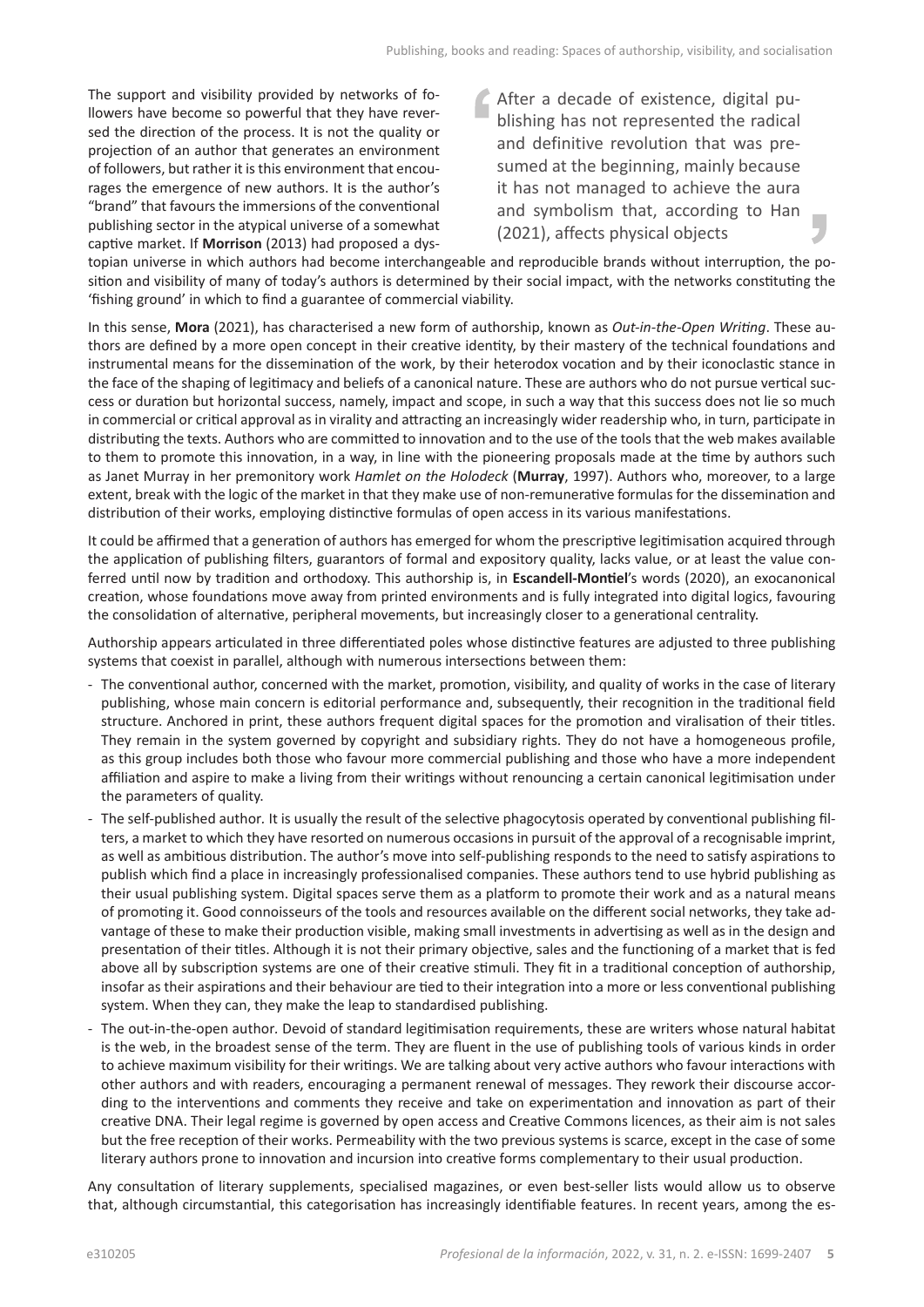The support and visibility provided by networks of followers have become so powerful that they have reversed the direction of the process. It is not the quality or projection of an author that generates an environment of followers, but rather it is this environment that encourages the emergence of new authors. It is the author's "brand" that favours the immersions of the conventional publishing sector in the atypical universe of a somewhat captive market. If **Morrison** (2013) had proposed a dysAfter a decade of existence, digital publishing has not represented the radical and definitive revolution that was presumed at the beginning, mainly because it has not managed to achieve the aura and symbolism that, according to Han (2021), affects physical objects

topian universe in which authors had become interchangeable and reproducible brands without interruption, the position and visibility of many of today's authors is determined by their social impact, with the networks constituting the 'fishing ground' in which to find a guarantee of commercial viability.

In this sense, **Mora** (2021), has characterised a new form of authorship, known as *Out-in-the-Open Writing*. These authors are defined by a more open concept in their creative identity, by their mastery of the technical foundations and instrumental means for the dissemination of the work, by their heterodox vocation and by their iconoclastic stance in the face of the shaping of legitimacy and beliefs of a canonical nature. These are authors who do not pursue vertical success or duration but horizontal success, namely, impact and scope, in such a way that this success does not lie so much in commercial or critical approval as in virality and attracting an increasingly wider readership who, in turn, participate in distributing the texts. Authors who are committed to innovation and to the use of the tools that the web makes available to them to promote this innovation, in a way, in line with the pioneering proposals made at the time by authors such as Janet Murray in her premonitory work *Hamlet on the Holodeck* (**Murray**, 1997). Authors who, moreover, to a large extent, break with the logic of the market in that they make use of non-remunerative formulas for the dissemination and distribution of their works, employing distinctive formulas of open access in its various manifestations.

It could be affirmed that a generation of authors has emerged for whom the prescriptive legitimisation acquired through the application of publishing filters, guarantors of formal and expository quality, lacks value, or at least the value conferred until now by tradition and orthodoxy. This authorship is, in **Escandell-Montiel**'s words (2020), an exocanonical creation, whose foundations move away from printed environments and is fully integrated into digital logics, favouring the consolidation of alternative, peripheral movements, but increasingly closer to a generational centrality.

Authorship appears articulated in three differentiated poles whose distinctive features are adjusted to three publishing systems that coexist in parallel, although with numerous intersections between them:

- The conventional author, concerned with the market, promotion, visibility, and quality of works in the case of literary publishing, whose main concern is editorial performance and, subsequently, their recognition in the traditional field structure. Anchored in print, these authors frequent digital spaces for the promotion and viralisation of their titles. They remain in the system governed by copyright and subsidiary rights. They do not have a homogeneous profile, as this group includes both those who favour more commercial publishing and those who have a more independent affiliation and aspire to make a living from their writings without renouncing a certain canonical legitimisation under the parameters of quality.
- *-* The self-published author*.* It is usually the result of the selective phagocytosis operated by conventional publishing filters, a market to which they have resorted on numerous occasions in pursuit of the approval of a recognisable imprint, as well as ambitious distribution. The author's move into self-publishing responds to the need to satisfy aspirations to publish which find a place in increasingly professionalised companies. These authors tend to use hybrid publishing as their usual publishing system. Digital spaces serve them as a platform to promote their work and as a natural means of promoting it. Good connoisseurs of the tools and resources available on the different social networks, they take advantage of these to make their production visible, making small investments in advertising as well as in the design and presentation of their titles. Although it is not their primary objective, sales and the functioning of a market that is fed above all by subscription systems are one of their creative stimuli. They fit in a traditional conception of authorship, insofar as their aspirations and their behaviour are tied to their integration into a more or less conventional publishing system. When they can, they make the leap to standardised publishing.
- The out-in-the-open author*.* Devoid of standard legitimisation requirements, these are writers whose natural habitat is the web, in the broadest sense of the term. They are fluent in the use of publishing tools of various kinds in order to achieve maximum visibility for their writings. We are talking about very active authors who favour interactions with other authors and with readers, encouraging a permanent renewal of messages. They rework their discourse according to the interventions and comments they receive and take on experimentation and innovation as part of their creative DNA. Their legal regime is governed by open access and Creative Commons licences, as their aim is not sales but the free reception of their works. Permeability with the two previous systems is scarce, except in the case of some literary authors prone to innovation and incursion into creative forms complementary to their usual production.

Any consultation of literary supplements, specialised magazines, or even best-seller lists would allow us to observe that, although circumstantial, this categorisation has increasingly identifiable features. In recent years, among the es-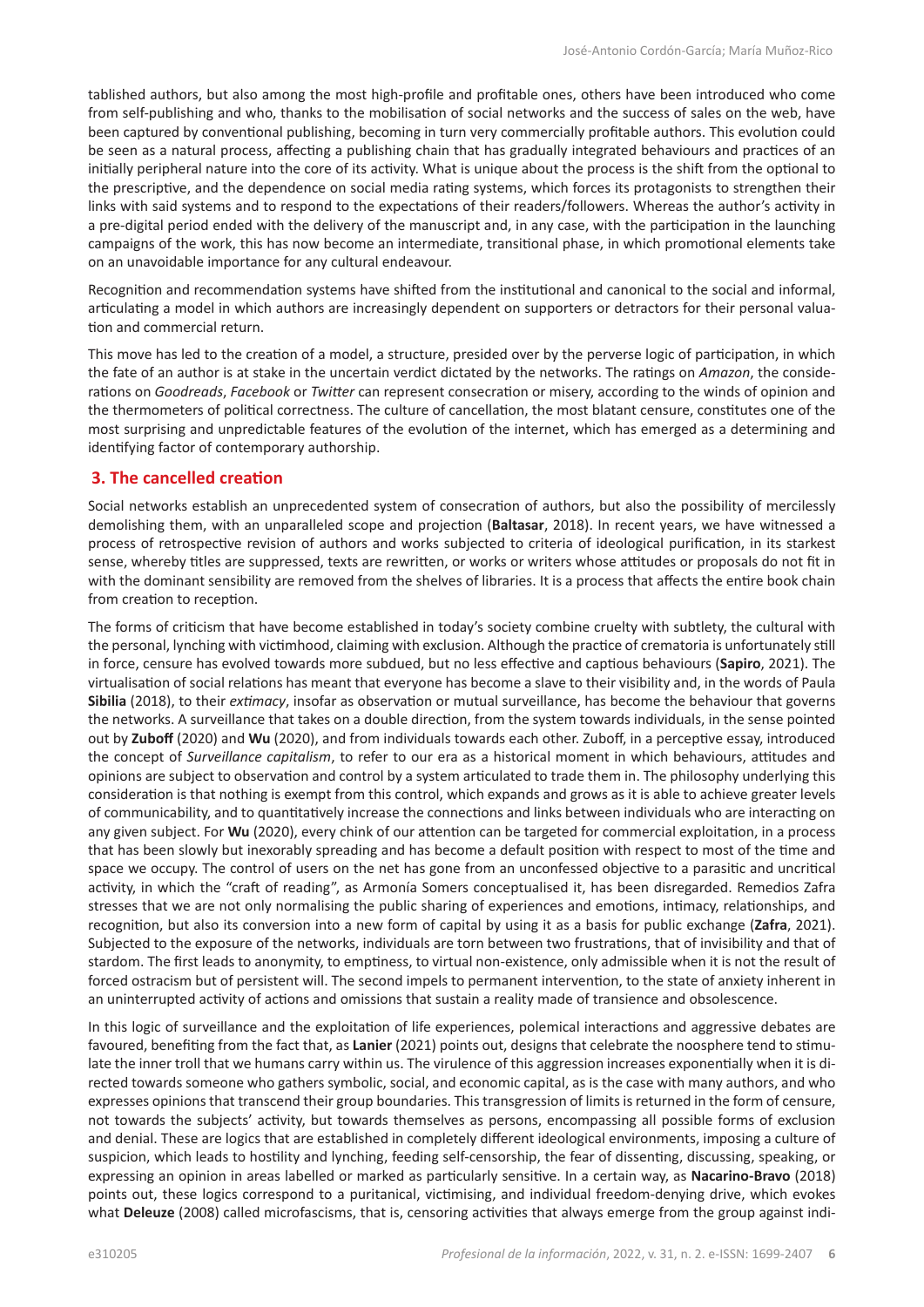tablished authors, but also among the most high-profile and profitable ones, others have been introduced who come from self-publishing and who, thanks to the mobilisation of social networks and the success of sales on the web, have been captured by conventional publishing, becoming in turn very commercially profitable authors. This evolution could be seen as a natural process, affecting a publishing chain that has gradually integrated behaviours and practices of an initially peripheral nature into the core of its activity. What is unique about the process is the shift from the optional to the prescriptive, and the dependence on social media rating systems, which forces its protagonists to strengthen their links with said systems and to respond to the expectations of their readers/followers. Whereas the author's activity in a pre-digital period ended with the delivery of the manuscript and, in any case, with the participation in the launching campaigns of the work, this has now become an intermediate, transitional phase, in which promotional elements take on an unavoidable importance for any cultural endeavour.

Recognition and recommendation systems have shifted from the institutional and canonical to the social and informal, articulating a model in which authors are increasingly dependent on supporters or detractors for their personal valuation and commercial return.

This move has led to the creation of a model, a structure, presided over by the perverse logic of participation, in which the fate of an author is at stake in the uncertain verdict dictated by the networks. The ratings on *Amazon*, the considerations on *Goodreads*, *Facebook* or *Twitter* can represent consecration or misery, according to the winds of opinion and the thermometers of political correctness. The culture of cancellation, the most blatant censure, constitutes one of the most surprising and unpredictable features of the evolution of the internet, which has emerged as a determining and identifying factor of contemporary authorship.

### **3. The cancelled creation**

Social networks establish an unprecedented system of consecration of authors, but also the possibility of mercilessly demolishing them, with an unparalleled scope and projection (**Baltasar**, 2018). In recent years, we have witnessed a process of retrospective revision of authors and works subjected to criteria of ideological purification, in its starkest sense, whereby titles are suppressed, texts are rewritten, or works or writers whose attitudes or proposals do not fit in with the dominant sensibility are removed from the shelves of libraries. It is a process that affects the entire book chain from creation to reception.

The forms of criticism that have become established in today's society combine cruelty with subtlety, the cultural with the personal, lynching with victimhood, claiming with exclusion. Although the practice of crematoria is unfortunately still in force, censure has evolved towards more subdued, but no less effective and captious behaviours (**Sapiro**, 2021). The virtualisation of social relations has meant that everyone has become a slave to their visibility and, in the words of Paula **Sibilia** (2018), to their *extimacy*, insofar as observation or mutual surveillance, has become the behaviour that governs the networks. A surveillance that takes on a double direction, from the system towards individuals, in the sense pointed out by **Zuboff** (2020) and **Wu** (2020), and from individuals towards each other. Zuboff, in a perceptive essay, introduced the concept of *Surveillance capitalism*, to refer to our era as a historical moment in which behaviours, attitudes and opinions are subject to observation and control by a system articulated to trade them in. The philosophy underlying this consideration is that nothing is exempt from this control, which expands and grows as it is able to achieve greater levels of communicability, and to quantitatively increase the connections and links between individuals who are interacting on any given subject. For **Wu** (2020), every chink of our attention can be targeted for commercial exploitation, in a process that has been slowly but inexorably spreading and has become a default position with respect to most of the time and space we occupy. The control of users on the net has gone from an unconfessed objective to a parasitic and uncritical activity, in which the "craft of reading", as Armonía Somers conceptualised it, has been disregarded. Remedios Zafra stresses that we are not only normalising the public sharing of experiences and emotions, intimacy, relationships, and recognition, but also its conversion into a new form of capital by using it as a basis for public exchange (**Zafra**, 2021). Subjected to the exposure of the networks, individuals are torn between two frustrations, that of invisibility and that of stardom. The first leads to anonymity, to emptiness, to virtual non-existence, only admissible when it is not the result of forced ostracism but of persistent will. The second impels to permanent intervention, to the state of anxiety inherent in an uninterrupted activity of actions and omissions that sustain a reality made of transience and obsolescence.

In this logic of surveillance and the exploitation of life experiences, polemical interactions and aggressive debates are favoured, benefiting from the fact that, as **Lanier** (2021) points out, designs that celebrate the noosphere tend to stimulate the inner troll that we humans carry within us. The virulence of this aggression increases exponentially when it is directed towards someone who gathers symbolic, social, and economic capital, as is the case with many authors, and who expresses opinions that transcend their group boundaries. This transgression of limits is returned in the form of censure, not towards the subjects' activity, but towards themselves as persons, encompassing all possible forms of exclusion and denial. These are logics that are established in completely different ideological environments, imposing a culture of suspicion, which leads to hostility and lynching, feeding self-censorship, the fear of dissenting, discussing, speaking, or expressing an opinion in areas labelled or marked as particularly sensitive. In a certain way, as **Nacarino-Bravo** (2018) points out, these logics correspond to a puritanical, victimising, and individual freedom-denying drive, which evokes what **Deleuze** (2008) called microfascisms, that is, censoring activities that always emerge from the group against indi-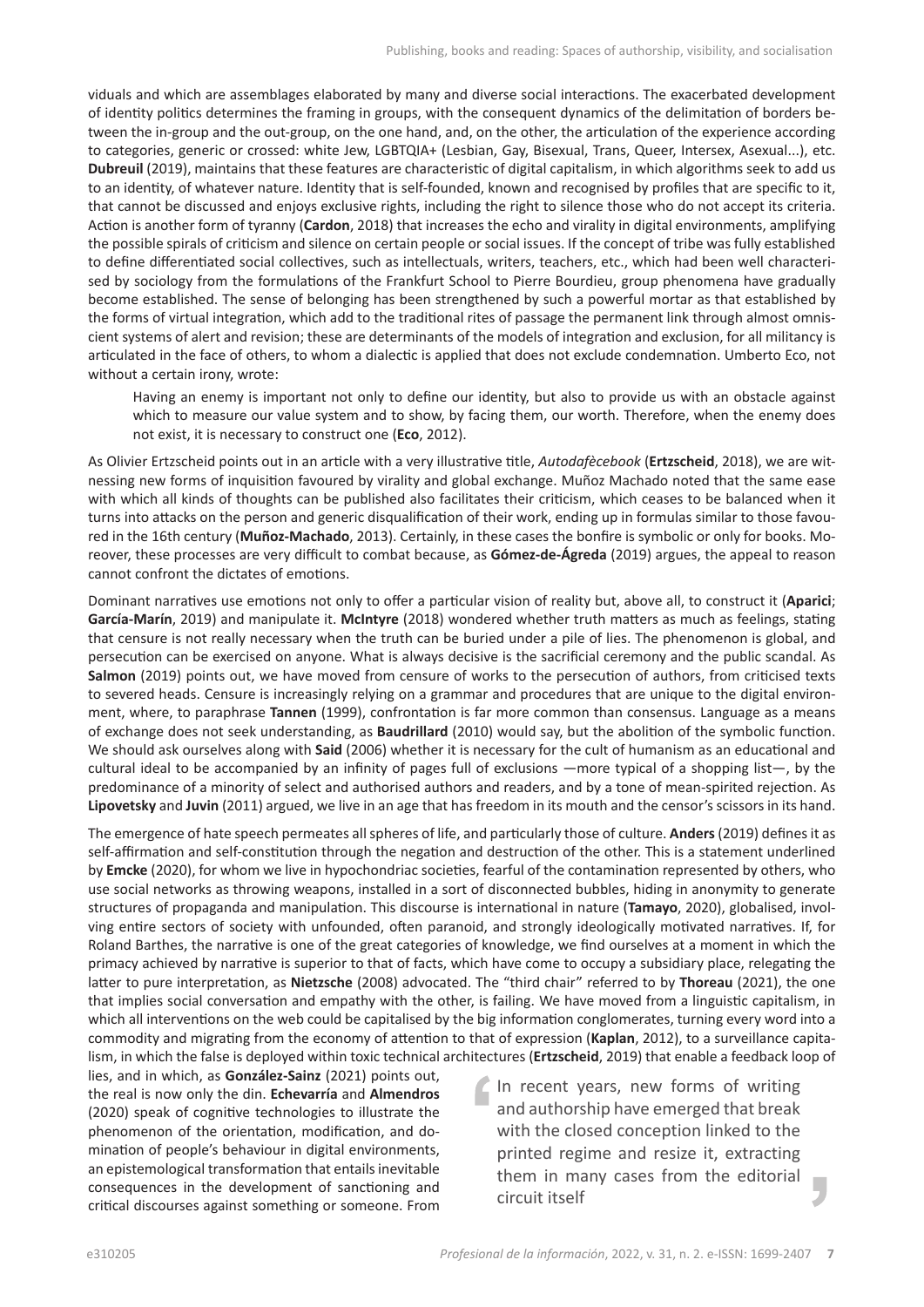viduals and which are assemblages elaborated by many and diverse social interactions. The exacerbated development of identity politics determines the framing in groups, with the consequent dynamics of the delimitation of borders between the in-group and the out-group, on the one hand, and, on the other, the articulation of the experience according to categories, generic or crossed: white Jew, LGBTQIA+ (Lesbian, Gay, Bisexual, Trans, Queer, Intersex, Asexual...), etc. **Dubreuil** (2019), maintains that these features are characteristic of digital capitalism, in which algorithms seek to add us to an identity, of whatever nature. Identity that is self-founded, known and recognised by profiles that are specific to it, that cannot be discussed and enjoys exclusive rights, including the right to silence those who do not accept its criteria. Action is another form of tyranny (**Cardon**, 2018) that increases the echo and virality in digital environments, amplifying the possible spirals of criticism and silence on certain people or social issues. If the concept of tribe was fully established to define differentiated social collectives, such as intellectuals, writers, teachers, etc., which had been well characterised by sociology from the formulations of the Frankfurt School to Pierre Bourdieu, group phenomena have gradually become established. The sense of belonging has been strengthened by such a powerful mortar as that established by the forms of virtual integration, which add to the traditional rites of passage the permanent link through almost omniscient systems of alert and revision; these are determinants of the models of integration and exclusion, for all militancy is articulated in the face of others, to whom a dialectic is applied that does not exclude condemnation. Umberto Eco, not without a certain irony, wrote:

Having an enemy is important not only to define our identity, but also to provide us with an obstacle against which to measure our value system and to show, by facing them, our worth. Therefore, when the enemy does not exist, it is necessary to construct one (**Eco**, 2012).

As Olivier Ertzscheid points out in an article with a very illustrative title, *Autodafècebook* (**Ertzscheid**, 2018), we are witnessing new forms of inquisition favoured by virality and global exchange. Muñoz Machado noted that the same ease with which all kinds of thoughts can be published also facilitates their criticism, which ceases to be balanced when it turns into attacks on the person and generic disqualification of their work, ending up in formulas similar to those favoured in the 16th century (**Muñoz-Machado**, 2013). Certainly, in these cases the bonfire is symbolic or only for books. Moreover, these processes are very difficult to combat because, as **Gómez-de-Ágreda** (2019) argues, the appeal to reason cannot confront the dictates of emotions.

Dominant narratives use emotions not only to offer a particular vision of reality but, above all, to construct it (**Aparici**; **García-Marín**, 2019) and manipulate it. **McIntyre** (2018) wondered whether truth matters as much as feelings, stating that censure is not really necessary when the truth can be buried under a pile of lies. The phenomenon is global, and persecution can be exercised on anyone. What is always decisive is the sacrificial ceremony and the public scandal. As **Salmon** (2019) points out, we have moved from censure of works to the persecution of authors, from criticised texts to severed heads. Censure is increasingly relying on a grammar and procedures that are unique to the digital environment, where, to paraphrase **Tannen** (1999), confrontation is far more common than consensus. Language as a means of exchange does not seek understanding, as **Baudrillard** (2010) would say, but the abolition of the symbolic function. We should ask ourselves along with **Said** (2006) whether it is necessary for the cult of humanism as an educational and cultural ideal to be accompanied by an infinity of pages full of exclusions —more typical of a shopping list—, by the predominance of a minority of select and authorised authors and readers, and by a tone of mean-spirited rejection. As **Lipovetsky** and **Juvin** (2011) argued, we live in an age that has freedom in its mouth and the censor's scissors in its hand.

The emergence of hate speech permeates all spheres of life, and particularly those of culture. **Anders** (2019) defines it as self-affirmation and self-constitution through the negation and destruction of the other. This is a statement underlined by **Emcke** (2020), for whom we live in hypochondriac societies, fearful of the contamination represented by others, who use social networks as throwing weapons, installed in a sort of disconnected bubbles, hiding in anonymity to generate structures of propaganda and manipulation. This discourse is international in nature (**Tamayo**, 2020), globalised, involving entire sectors of society with unfounded, often paranoid, and strongly ideologically motivated narratives. If, for Roland Barthes, the narrative is one of the great categories of knowledge, we find ourselves at a moment in which the primacy achieved by narrative is superior to that of facts, which have come to occupy a subsidiary place, relegating the latter to pure interpretation, as **Nietzsche** (2008) advocated. The "third chair" referred to by **Thoreau** (2021), the one that implies social conversation and empathy with the other, is failing. We have moved from a linguistic capitalism, in which all interventions on the web could be capitalised by the big information conglomerates, turning every word into a commodity and migrating from the economy of attention to that of expression (**Kaplan**, 2012), to a surveillance capitalism, in which the false is deployed within toxic technical architectures (**Ertzscheid**, 2019) that enable a feedback loop of

lies, and in which, as **González-Sainz** (2021) points out, the real is now only the din. **Echevarría** and **Almendros** (2020) speak of cognitive technologies to illustrate the phenomenon of the orientation, modification, and domination of people's behaviour in digital environments, an epistemological transformation that entails inevitable consequences in the development of sanctioning and critical discourses against something or someone. From

In recent years, new forms of writing and authorship have emerged that break with the closed conception linked to the printed regime and resize it, extracting them in many cases from the editorial I. circuit itself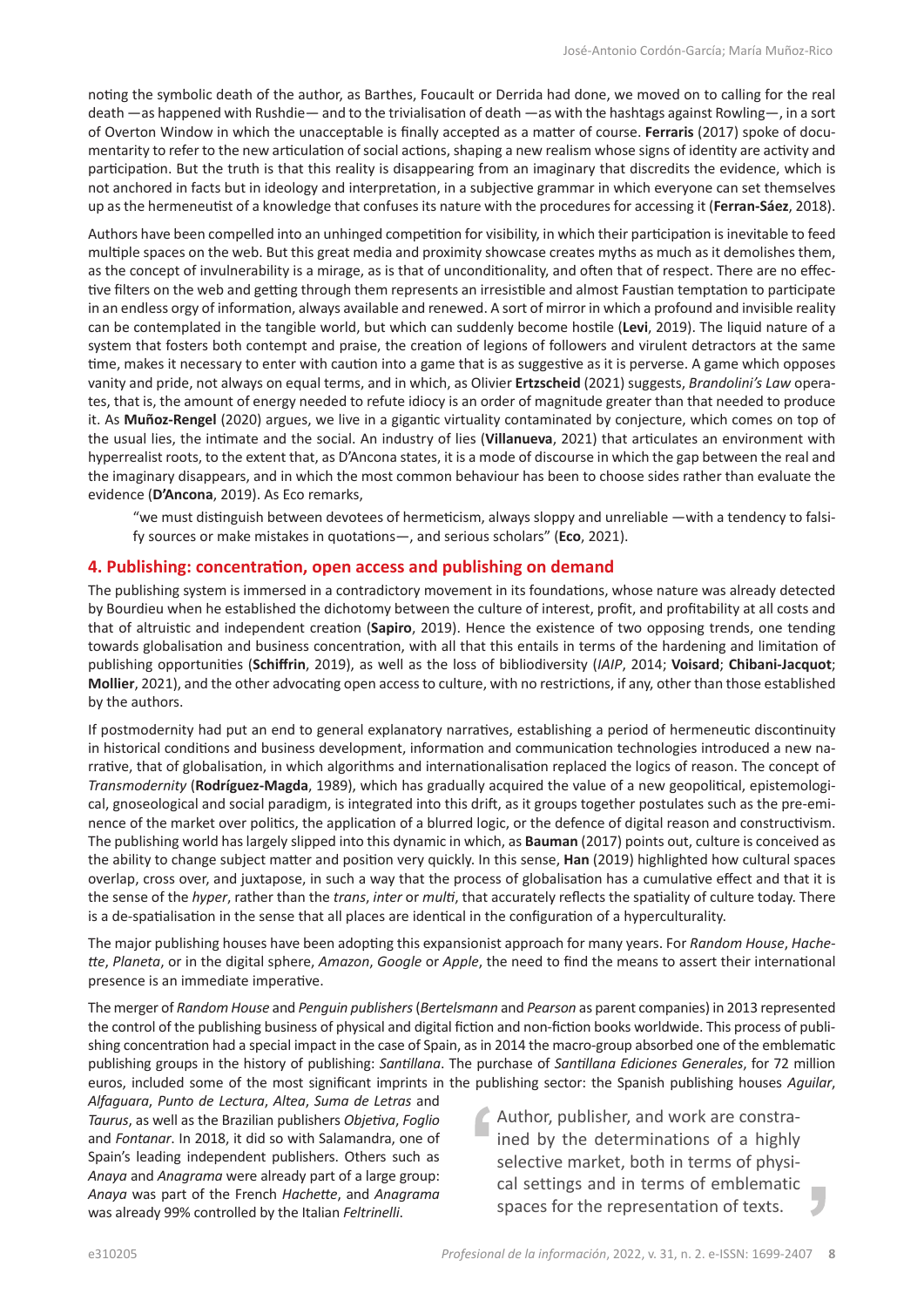noting the symbolic death of the author, as Barthes, Foucault or Derrida had done, we moved on to calling for the real death —as happened with Rushdie— and to the trivialisation of death —as with the hashtags against Rowling—, in a sort of Overton Window in which the unacceptable is finally accepted as a matter of course. **Ferraris** (2017) spoke of documentarity to refer to the new articulation of social actions, shaping a new realism whose signs of identity are activity and participation. But the truth is that this reality is disappearing from an imaginary that discredits the evidence, which is not anchored in facts but in ideology and interpretation, in a subjective grammar in which everyone can set themselves up as the hermeneutist of a knowledge that confuses its nature with the procedures for accessing it (**Ferran-Sáez**, 2018).

Authors have been compelled into an unhinged competition for visibility, in which their participation is inevitable to feed multiple spaces on the web. But this great media and proximity showcase creates myths as much as it demolishes them, as the concept of invulnerability is a mirage, as is that of unconditionality, and often that of respect. There are no effective filters on the web and getting through them represents an irresistible and almost Faustian temptation to participate in an endless orgy of information, always available and renewed. A sort of mirror in which a profound and invisible reality can be contemplated in the tangible world, but which can suddenly become hostile (**Levi**, 2019). The liquid nature of a system that fosters both contempt and praise, the creation of legions of followers and virulent detractors at the same time, makes it necessary to enter with caution into a game that is as suggestive as it is perverse. A game which opposes vanity and pride, not always on equal terms, and in which, as Olivier **Ertzscheid** (2021) suggests, *Brandolini's Law* operates, that is, the amount of energy needed to refute idiocy is an order of magnitude greater than that needed to produce it. As **Muñoz-Rengel** (2020) argues, we live in a gigantic virtuality contaminated by conjecture, which comes on top of the usual lies, the intimate and the social. An industry of lies (**Villanueva**, 2021) that articulates an environment with hyperrealist roots, to the extent that, as D'Ancona states, it is a mode of discourse in which the gap between the real and the imaginary disappears, and in which the most common behaviour has been to choose sides rather than evaluate the evidence (**D'Ancona**, 2019). As Eco remarks,

"we must distinguish between devotees of hermeticism, always sloppy and unreliable —with a tendency to falsify sources or make mistakes in quotations—, and serious scholars" (**Eco**, 2021).

#### **4. Publishing: concentration, open access and publishing on demand**

The publishing system is immersed in a contradictory movement in its foundations, whose nature was already detected by Bourdieu when he established the dichotomy between the culture of interest, profit, and profitability at all costs and that of altruistic and independent creation (**Sapiro**, 2019). Hence the existence of two opposing trends, one tending towards globalisation and business concentration, with all that this entails in terms of the hardening and limitation of publishing opportunities (**Schiffrin**, 2019), as well as the loss of bibliodiversity (*IAIP*, 2014; **Voisard**; **Chibani-Jacquot**; **Mollier**, 2021), and the other advocating open access to culture, with no restrictions, if any, other than those established by the authors.

If postmodernity had put an end to general explanatory narratives, establishing a period of hermeneutic discontinuity in historical conditions and business development, information and communication technologies introduced a new narrative, that of globalisation, in which algorithms and internationalisation replaced the logics of reason. The concept of *Transmodernity* (**Rodríguez-Magda**, 1989), which has gradually acquired the value of a new geopolitical, epistemological, gnoseological and social paradigm, is integrated into this drift, as it groups together postulates such as the pre-eminence of the market over politics, the application of a blurred logic, or the defence of digital reason and constructivism. The publishing world has largely slipped into this dynamic in which, as **Bauman** (2017) points out, culture is conceived as the ability to change subject matter and position very quickly. In this sense, **Han** (2019) highlighted how cultural spaces overlap, cross over, and juxtapose, in such a way that the process of globalisation has a cumulative effect and that it is the sense of the *hyper*, rather than the *trans*, *inter* or *multi*, that accurately reflects the spatiality of culture today. There is a de-spatialisation in the sense that all places are identical in the configuration of a hyperculturality.

The major publishing houses have been adopting this expansionist approach for many years. For *Random House*, *Hachette*, *Planeta*, or in the digital sphere, *Amazon*, *Google* or *Apple*, the need to find the means to assert their international presence is an immediate imperative.

The merger of *Random House* and *Penguin publishers* (*Bertelsmann* and *Pearson* as parent companies) in 2013 represented the control of the publishing business of physical and digital fiction and non-fiction books worldwide. This process of publishing concentration had a special impact in the case of Spain, as in 2014 the macro-group absorbed one of the emblematic publishing groups in the history of publishing: *Santillana*. The purchase of *Santillana Ediciones Generales*, for 72 million euros, included some of the most significant imprints in the publishing sector: the Spanish publishing houses *Aguilar*,

*Alfaguara*, *Punto de Lectura*, *Altea*, *Suma de Letras* and *Taurus*, as well as the Brazilian publishers *Objetiva*, *Foglio* and *Fontanar*. In 2018, it did so with Salamandra, one of Spain's leading independent publishers. Others such as *Anaya* and *Anagrama* were already part of a large group: *Anaya* was part of the French *Hachette*, and *Anagrama* was already 99% controlled by the Italian *Feltrinelli*.

Author, publisher, and work are constrained by the determinations of a highly selective market, both in terms of physical settings and in terms of emblematic spaces for the representation of texts.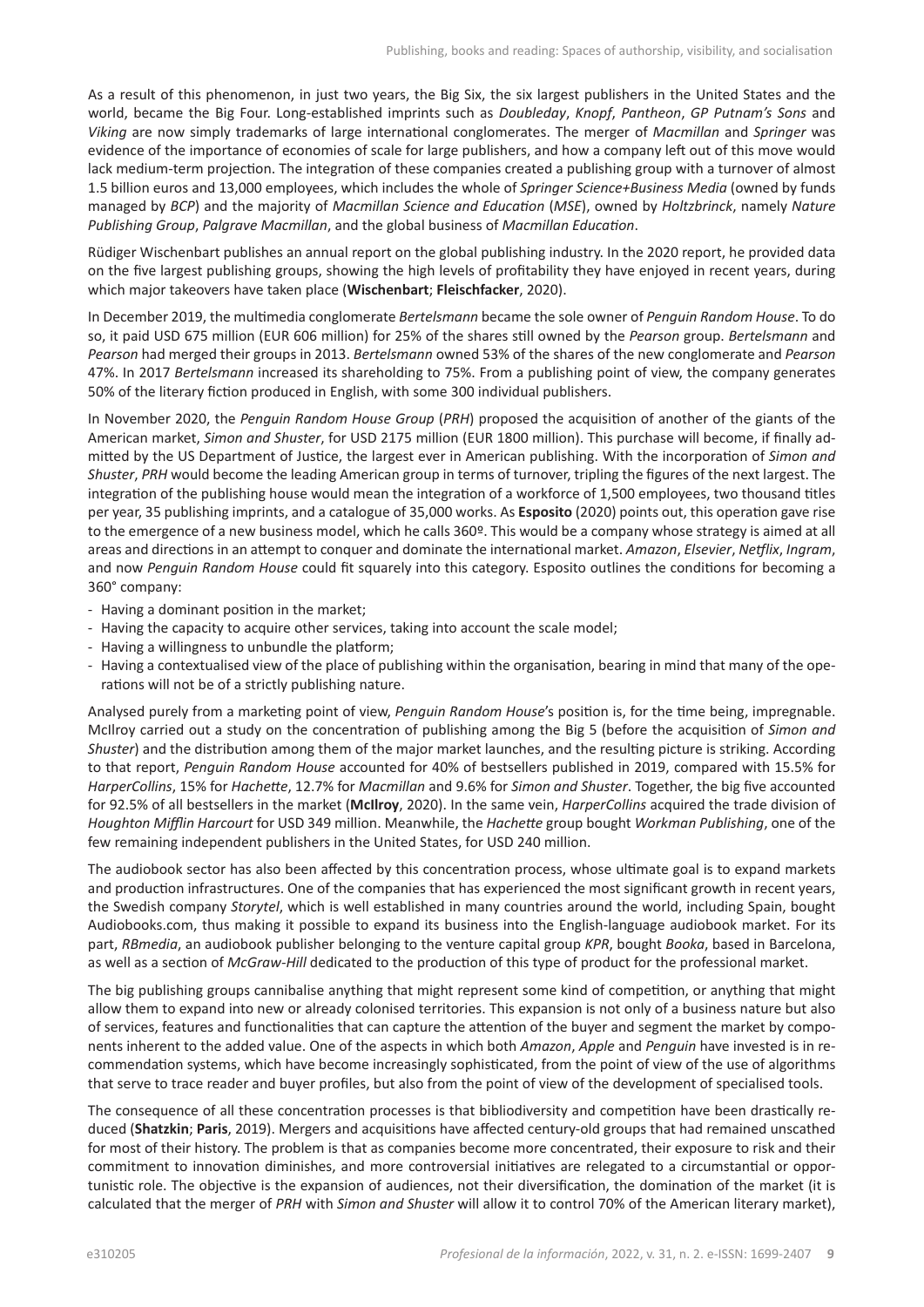As a result of this phenomenon, in just two years, the Big Six, the six largest publishers in the United States and the world, became the Big Four. Long-established imprints such as *Doubleday*, *Knopf*, *Pantheon*, *GP Putnam's Sons* and *Viking* are now simply trademarks of large international conglomerates. The merger of *Macmillan* and *Springer* was evidence of the importance of economies of scale for large publishers, and how a company left out of this move would lack medium-term projection. The integration of these companies created a publishing group with a turnover of almost 1.5 billion euros and 13,000 employees, which includes the whole of *Springer Science+Business Media* (owned by funds managed by *BCP*) and the majority of *Macmillan Science and Education* (*MSE*), owned by *Holtzbrinck*, namely *Nature Publishing Group*, *Palgrave Macmillan*, and the global business of *Macmillan Education*.

Rüdiger Wischenbart publishes an annual report on the global publishing industry. In the 2020 report, he provided data on the five largest publishing groups, showing the high levels of profitability they have enjoyed in recent years, during which major takeovers have taken place (**Wischenbart**; **Fleischfacker**, 2020).

In December 2019, the multimedia conglomerate *Bertelsmann* became the sole owner of *Penguin Random House*. To do so, it paid USD 675 million (EUR 606 million) for 25% of the shares still owned by the *Pearson* group. *Bertelsmann* and *Pearson* had merged their groups in 2013. *Bertelsmann* owned 53% of the shares of the new conglomerate and *Pearson* 47%. In 2017 *Bertelsmann* increased its shareholding to 75%. From a publishing point of view, the company generates 50% of the literary fiction produced in English, with some 300 individual publishers.

In November 2020, the *Penguin Random House Group* (*PRH*) proposed the acquisition of another of the giants of the American market, *Simon and Shuster*, for USD 2175 million (EUR 1800 million). This purchase will become, if finally admitted by the US Department of Justice, the largest ever in American publishing. With the incorporation of *Simon and Shuster*, *PRH* would become the leading American group in terms of turnover, tripling the figures of the next largest. The integration of the publishing house would mean the integration of a workforce of 1,500 employees, two thousand titles per year, 35 publishing imprints, and a catalogue of 35,000 works. As **Esposito** (2020) points out, this operation gave rise to the emergence of a new business model, which he calls 360º. This would be a company whose strategy is aimed at all areas and directions in an attempt to conquer and dominate the international market. *Amazon*, *Elsevier*, *Netflix*, *Ingram*, and now *Penguin Random House* could fit squarely into this category. Esposito outlines the conditions for becoming a 360° company:

- Having a dominant position in the market;
- Having the capacity to acquire other services, taking into account the scale model;
- Having a willingness to unbundle the platform;
- Having a contextualised view of the place of publishing within the organisation, bearing in mind that many of the operations will not be of a strictly publishing nature.

Analysed purely from a marketing point of view, *Penguin Random House*'s position is, for the time being, impregnable. McIlroy carried out a study on the concentration of publishing among the Big 5 (before the acquisition of *Simon and Shuster*) and the distribution among them of the major market launches, and the resulting picture is striking. According to that report, *Penguin Random House* accounted for 40% of bestsellers published in 2019, compared with 15.5% for *HarperCollins*, 15% for *Hachette*, 12.7% for *Macmillan* and 9.6% for *Simon and Shuster*. Together, the big five accounted for 92.5% of all bestsellers in the market (**McIlroy**, 2020). In the same vein, *HarperCollins* acquired the trade division of *Houghton Mifflin Harcourt* for USD 349 million. Meanwhile, the *Hachette* group bought *Workman Publishing*, one of the few remaining independent publishers in the United States, for USD 240 million.

The audiobook sector has also been affected by this concentration process, whose ultimate goal is to expand markets and production infrastructures. One of the companies that has experienced the most significant growth in recent years, the Swedish company *Storytel*, which is well established in many countries around the world, including Spain, bought Audiobooks.com, thus making it possible to expand its business into the English-language audiobook market. For its part, *RBmedia*, an audiobook publisher belonging to the venture capital group *KPR*, bought *Booka*, based in Barcelona, as well as a section of *McGraw-Hill* dedicated to the production of this type of product for the professional market.

The big publishing groups cannibalise anything that might represent some kind of competition, or anything that might allow them to expand into new or already colonised territories. This expansion is not only of a business nature but also of services, features and functionalities that can capture the attention of the buyer and segment the market by components inherent to the added value. One of the aspects in which both *Amazon*, *Apple* and *Penguin* have invested is in recommendation systems, which have become increasingly sophisticated, from the point of view of the use of algorithms that serve to trace reader and buyer profiles, but also from the point of view of the development of specialised tools.

The consequence of all these concentration processes is that bibliodiversity and competition have been drastically reduced (**Shatzkin**; **Paris**, 2019). Mergers and acquisitions have affected century-old groups that had remained unscathed for most of their history. The problem is that as companies become more concentrated, their exposure to risk and their commitment to innovation diminishes, and more controversial initiatives are relegated to a circumstantial or opportunistic role. The objective is the expansion of audiences, not their diversification, the domination of the market (it is calculated that the merger of *PRH* with *Simon and Shuster* will allow it to control 70% of the American literary market),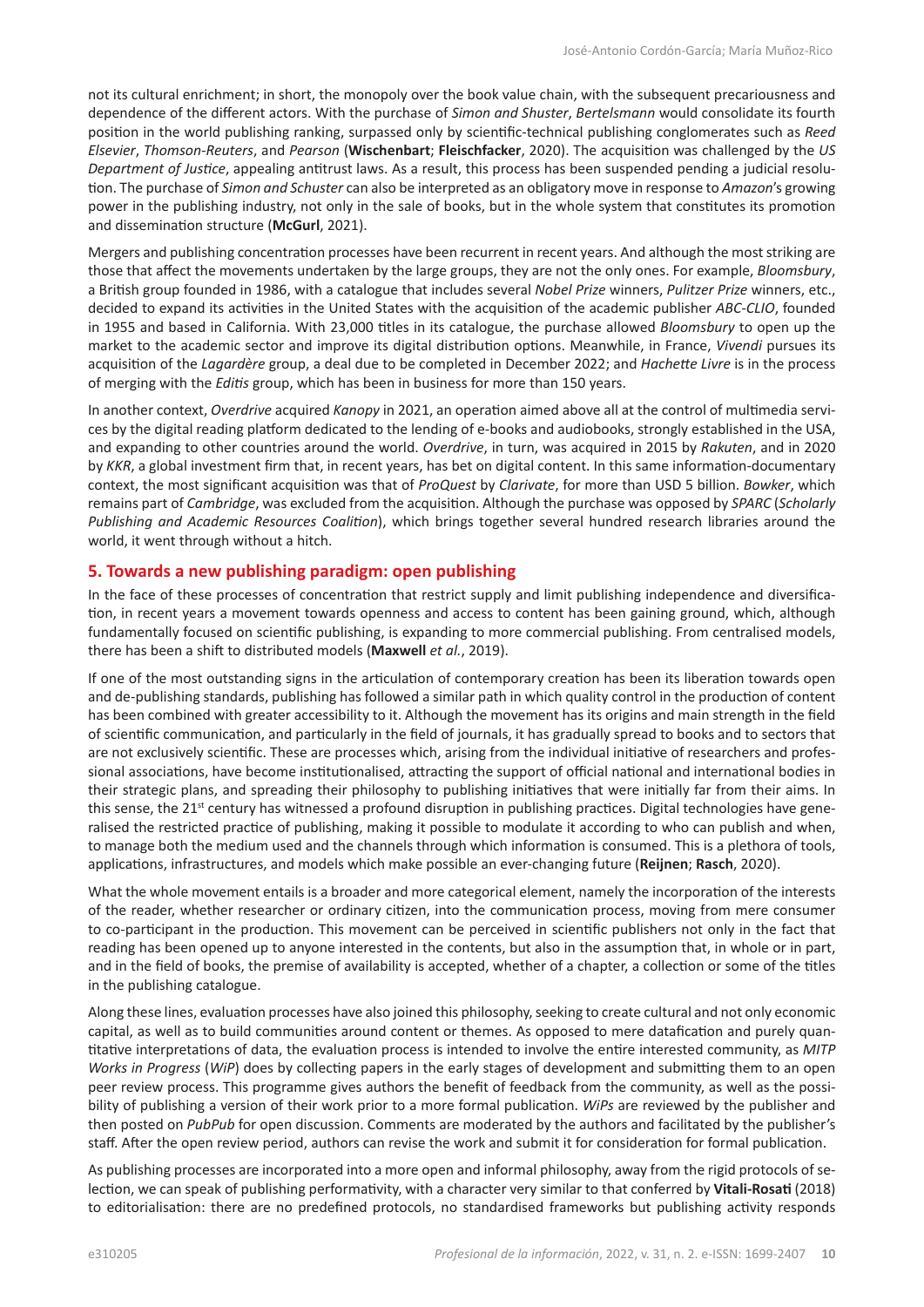not its cultural enrichment; in short, the monopoly over the book value chain, with the subsequent precariousness and dependence of the different actors. With the purchase of *Simon and Shuster*, *Bertelsmann* would consolidate its fourth position in the world publishing ranking, surpassed only by scientific-technical publishing conglomerates such as *Reed Elsevier*, *Thomson-Reuters*, and *Pearson* (**Wischenbart**; **Fleischfacker**, 2020). The acquisition was challenged by the *US Department of Justice*, appealing antitrust laws. As a result, this process has been suspended pending a judicial resolution. The purchase of *Simon and Schuster* can also be interpreted as an obligatory move in response to *Amazon*'s growing power in the publishing industry, not only in the sale of books, but in the whole system that constitutes its promotion and dissemination structure (**McGurl**, 2021).

Mergers and publishing concentration processes have been recurrent in recent years. And although the most striking are those that affect the movements undertaken by the large groups, they are not the only ones. For example, *Bloomsbury*, a British group founded in 1986, with a catalogue that includes several *Nobel Prize* winners, *Pulitzer Prize* winners, etc., decided to expand its activities in the United States with the acquisition of the academic publisher *ABC-CLIO*, founded in 1955 and based in California. With 23,000 titles in its catalogue, the purchase allowed *Bloomsbury* to open up the market to the academic sector and improve its digital distribution options. Meanwhile, in France, *Vivendi* pursues its acquisition of the *Lagardère* group, a deal due to be completed in December 2022; and *Hachette Livre* is in the process of merging with the *Editis* group, which has been in business for more than 150 years.

In another context, *Overdrive* acquired *Kanopy* in 2021, an operation aimed above all at the control of multimedia services by the digital reading platform dedicated to the lending of e-books and audiobooks, strongly established in the USA, and expanding to other countries around the world. *Overdrive*, in turn, was acquired in 2015 by *Rakuten*, and in 2020 by *KKR*, a global investment firm that, in recent years, has bet on digital content. In this same information-documentary context, the most significant acquisition was that of *ProQuest* by *Clarivate*, for more than USD 5 billion. *Bowker*, which remains part of *Cambridge*, was excluded from the acquisition. Although the purchase was opposed by *SPARC* (*Scholarly Publishing and Academic Resources Coalition*), which brings together several hundred research libraries around the world, it went through without a hitch.

#### **5. Towards a new publishing paradigm: open publishing**

In the face of these processes of concentration that restrict supply and limit publishing independence and diversification, in recent years a movement towards openness and access to content has been gaining ground, which, although fundamentally focused on scientific publishing, is expanding to more commercial publishing. From centralised models, there has been a shift to distributed models (**Maxwell** *et al.*, 2019).

If one of the most outstanding signs in the articulation of contemporary creation has been its liberation towards open and de-publishing standards, publishing has followed a similar path in which quality control in the production of content has been combined with greater accessibility to it. Although the movement has its origins and main strength in the field of scientific communication, and particularly in the field of journals, it has gradually spread to books and to sectors that are not exclusively scientific. These are processes which, arising from the individual initiative of researchers and professional associations, have become institutionalised, attracting the support of official national and international bodies in their strategic plans, and spreading their philosophy to publishing initiatives that were initially far from their aims. In this sense, the 21<sup>st</sup> century has witnessed a profound disruption in publishing practices. Digital technologies have generalised the restricted practice of publishing, making it possible to modulate it according to who can publish and when, to manage both the medium used and the channels through which information is consumed. This is a plethora of tools, applications, infrastructures, and models which make possible an ever-changing future (**Reijnen**; **Rasch**, 2020).

What the whole movement entails is a broader and more categorical element, namely the incorporation of the interests of the reader, whether researcher or ordinary citizen, into the communication process, moving from mere consumer to co-participant in the production. This movement can be perceived in scientific publishers not only in the fact that reading has been opened up to anyone interested in the contents, but also in the assumption that, in whole or in part, and in the field of books, the premise of availability is accepted, whether of a chapter, a collection or some of the titles in the publishing catalogue.

Along these lines, evaluation processes have also joined this philosophy, seeking to create cultural and not only economic capital, as well as to build communities around content or themes. As opposed to mere datafication and purely quantitative interpretations of data, the evaluation process is intended to involve the entire interested community, as *MITP Works in Progress* (*WiP*) does by collecting papers in the early stages of development and submitting them to an open peer review process. This programme gives authors the benefit of feedback from the community, as well as the possibility of publishing a version of their work prior to a more formal publication. *WiPs* are reviewed by the publisher and then posted on *PubPub* for open discussion. Comments are moderated by the authors and facilitated by the publisher's staff. After the open review period, authors can revise the work and submit it for consideration for formal publication.

As publishing processes are incorporated into a more open and informal philosophy, away from the rigid protocols of selection, we can speak of publishing performativity, with a character very similar to that conferred by **Vitali-Rosati** (2018) to editorialisation: there are no predefined protocols, no standardised frameworks but publishing activity responds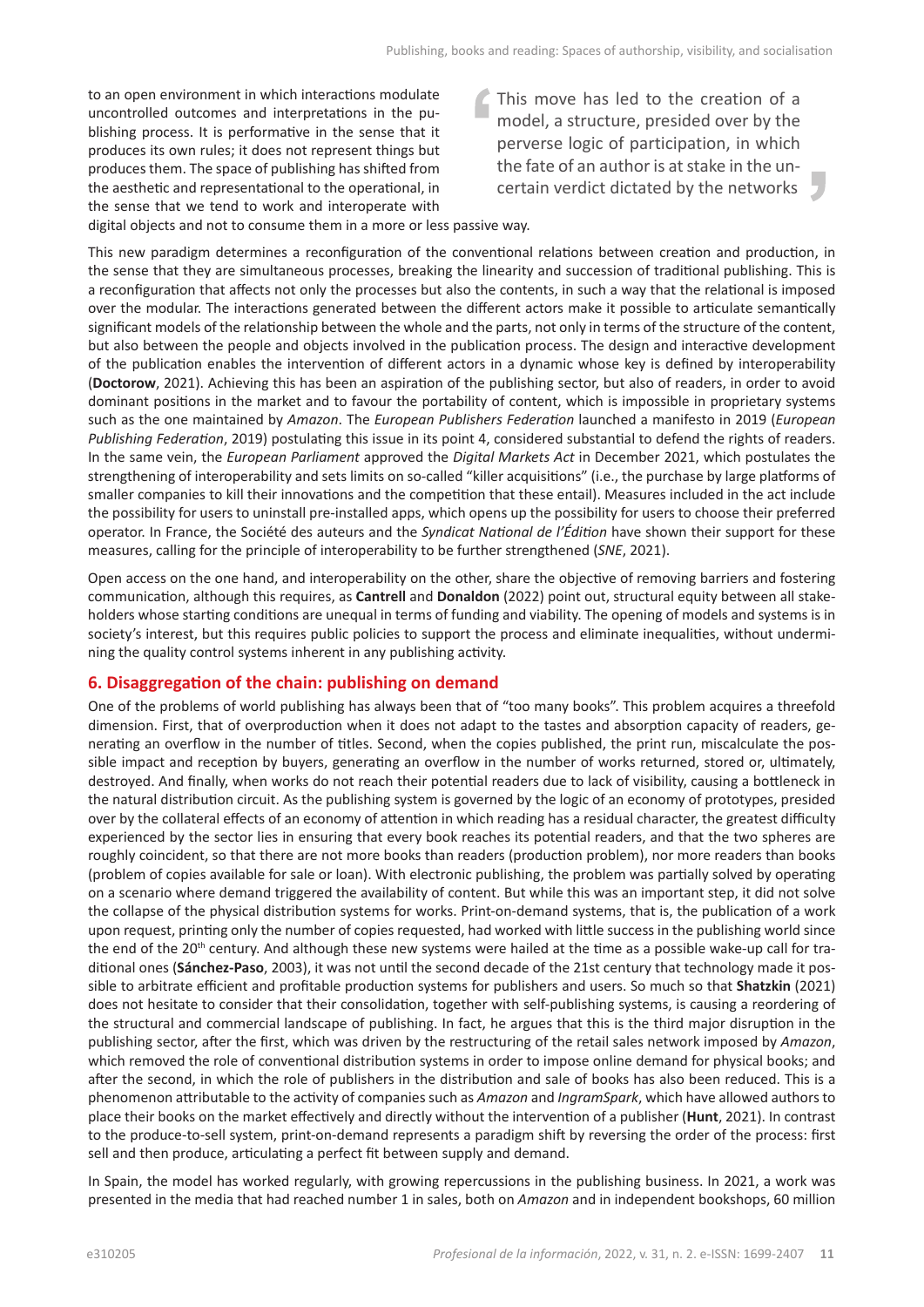to an open environment in which interactions modulate uncontrolled outcomes and interpretations in the publishing process. It is performative in the sense that it produces its own rules; it does not represent things but produces them. The space of publishing has shifted from the aesthetic and representational to the operational, in the sense that we tend to work and interoperate with This move has led to the creation of a model, a structure, presided over by the perverse logic of participation, in which the fate of an author is at stake in the uncertain verdict dictated by the networks

digital objects and not to consume them in a more or less passive way.

This new paradigm determines a reconfiguration of the conventional relations between creation and production, in the sense that they are simultaneous processes, breaking the linearity and succession of traditional publishing. This is a reconfiguration that affects not only the processes but also the contents, in such a way that the relational is imposed over the modular. The interactions generated between the different actors make it possible to articulate semantically significant models of the relationship between the whole and the parts, not only in terms of the structure of the content, but also between the people and objects involved in the publication process. The design and interactive development of the publication enables the intervention of different actors in a dynamic whose key is defined by interoperability (**Doctorow**, 2021). Achieving this has been an aspiration of the publishing sector, but also of readers, in order to avoid dominant positions in the market and to favour the portability of content, which is impossible in proprietary systems such as the one maintained by *Amazon*. The *European Publishers Federation* launched a manifesto in 2019 (*European Publishing Federation*, 2019) postulating this issue in its point 4, considered substantial to defend the rights of readers. In the same vein, the *European Parliament* approved the *Digital Markets Act* in December 2021, which postulates the strengthening of interoperability and sets limits on so-called "killer acquisitions" (i.e., the purchase by large platforms of smaller companies to kill their innovations and the competition that these entail). Measures included in the act include the possibility for users to uninstall pre-installed apps, which opens up the possibility for users to choose their preferred operator. In France, the Société des auteurs and the *Syndicat National de l'Édition* have shown their support for these measures, calling for the principle of interoperability to be further strengthened (*SNE*, 2021).

Open access on the one hand, and interoperability on the other, share the objective of removing barriers and fostering communication, although this requires, as **Cantrell** and **Donaldon** (2022) point out, structural equity between all stakeholders whose starting conditions are unequal in terms of funding and viability. The opening of models and systems is in society's interest, but this requires public policies to support the process and eliminate inequalities, without undermining the quality control systems inherent in any publishing activity.

#### **6. Disaggregation of the chain: publishing on demand**

One of the problems of world publishing has always been that of "too many books". This problem acquires a threefold dimension. First, that of overproduction when it does not adapt to the tastes and absorption capacity of readers, generating an overflow in the number of titles. Second, when the copies published, the print run, miscalculate the possible impact and reception by buyers, generating an overflow in the number of works returned, stored or, ultimately, destroyed. And finally, when works do not reach their potential readers due to lack of visibility, causing a bottleneck in the natural distribution circuit. As the publishing system is governed by the logic of an economy of prototypes, presided over by the collateral effects of an economy of attention in which reading has a residual character, the greatest difficulty experienced by the sector lies in ensuring that every book reaches its potential readers, and that the two spheres are roughly coincident, so that there are not more books than readers (production problem), nor more readers than books (problem of copies available for sale or loan). With electronic publishing, the problem was partially solved by operating on a scenario where demand triggered the availability of content. But while this was an important step, it did not solve the collapse of the physical distribution systems for works. Print-on-demand systems, that is, the publication of a work upon request, printing only the number of copies requested, had worked with little success in the publishing world since the end of the 20<sup>th</sup> century. And although these new systems were hailed at the time as a possible wake-up call for traditional ones (**Sánchez-Paso**, 2003), it was not until the second decade of the 21st century that technology made it possible to arbitrate efficient and profitable production systems for publishers and users. So much so that **Shatzkin** (2021) does not hesitate to consider that their consolidation, together with self-publishing systems, is causing a reordering of the structural and commercial landscape of publishing. In fact, he argues that this is the third major disruption in the publishing sector, after the first, which was driven by the restructuring of the retail sales network imposed by *Amazon*, which removed the role of conventional distribution systems in order to impose online demand for physical books; and after the second, in which the role of publishers in the distribution and sale of books has also been reduced. This is a phenomenon attributable to the activity of companies such as *Amazon* and *IngramSpark*, which have allowed authors to place their books on the market effectively and directly without the intervention of a publisher (**Hunt**, 2021). In contrast to the produce-to-sell system, print-on-demand represents a paradigm shift by reversing the order of the process: first sell and then produce, articulating a perfect fit between supply and demand.

In Spain, the model has worked regularly, with growing repercussions in the publishing business. In 2021, a work was presented in the media that had reached number 1 in sales, both on *Amazon* and in independent bookshops, 60 million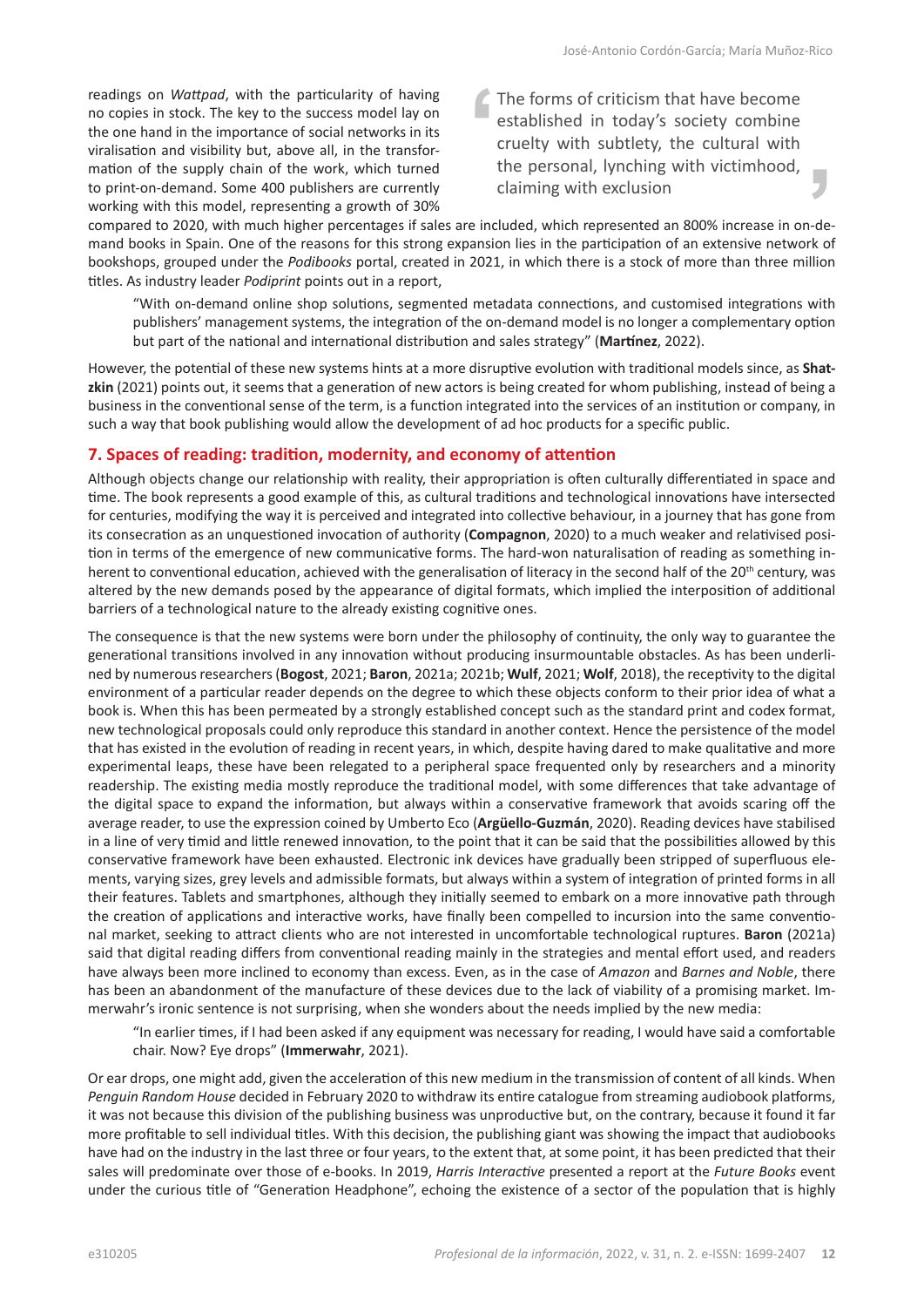readings on *Wattpad*, with the particularity of having no copies in stock. The key to the success model lay on the one hand in the importance of social networks in its viralisation and visibility but, above all, in the transformation of the supply chain of the work, which turned to print-on-demand. Some 400 publishers are currently working with this model, representing a growth of 30% The forms of criticism that have become established in today's society combine cruelty with subtlety, the cultural with the personal, lynching with victimhood, claiming with exclusion

compared to 2020, with much higher percentages if sales are included, which represented an 800% increase in on-demand books in Spain. One of the reasons for this strong expansion lies in the participation of an extensive network of bookshops, grouped under the *Podibooks* portal, created in 2021, in which there is a stock of more than three million titles. As industry leader *Podiprint* points out in a report,

"With on-demand online shop solutions, segmented metadata connections, and customised integrations with publishers' management systems, the integration of the on-demand model is no longer a complementary option but part of the national and international distribution and sales strategy" (**Martínez**, 2022).

However, the potential of these new systems hints at a more disruptive evolution with traditional models since, as **Shatzkin** (2021) points out, it seems that a generation of new actors is being created for whom publishing, instead of being a business in the conventional sense of the term, is a function integrated into the services of an institution or company, in such a way that book publishing would allow the development of ad hoc products for a specific public.

# **7. Spaces of reading: tradition, modernity, and economy of attention**

Although objects change our relationship with reality, their appropriation is often culturally differentiated in space and time. The book represents a good example of this, as cultural traditions and technological innovations have intersected for centuries, modifying the way it is perceived and integrated into collective behaviour, in a journey that has gone from its consecration as an unquestioned invocation of authority (**Compagnon**, 2020) to a much weaker and relativised position in terms of the emergence of new communicative forms. The hard-won naturalisation of reading as something inherent to conventional education, achieved with the generalisation of literacy in the second half of the 20<sup>th</sup> century, was altered by the new demands posed by the appearance of digital formats, which implied the interposition of additional barriers of a technological nature to the already existing cognitive ones.

The consequence is that the new systems were born under the philosophy of continuity, the only way to guarantee the generational transitions involved in any innovation without producing insurmountable obstacles. As has been underlined by numerous researchers (**Bogost**, 2021; **Baron**, 2021a; 2021b; **Wulf**, 2021; **Wolf**, 2018), the receptivity to the digital environment of a particular reader depends on the degree to which these objects conform to their prior idea of what a book is. When this has been permeated by a strongly established concept such as the standard print and codex format, new technological proposals could only reproduce this standard in another context. Hence the persistence of the model that has existed in the evolution of reading in recent years, in which, despite having dared to make qualitative and more experimental leaps, these have been relegated to a peripheral space frequented only by researchers and a minority readership. The existing media mostly reproduce the traditional model, with some differences that take advantage of the digital space to expand the information, but always within a conservative framework that avoids scaring off the average reader, to use the expression coined by Umberto Eco (**Argüello-Guzmán**, 2020). Reading devices have stabilised in a line of very timid and little renewed innovation, to the point that it can be said that the possibilities allowed by this conservative framework have been exhausted. Electronic ink devices have gradually been stripped of superfluous elements, varying sizes, grey levels and admissible formats, but always within a system of integration of printed forms in all their features. Tablets and smartphones, although they initially seemed to embark on a more innovative path through the creation of applications and interactive works, have finally been compelled to incursion into the same conventional market, seeking to attract clients who are not interested in uncomfortable technological ruptures. **Baron** (2021a) said that digital reading differs from conventional reading mainly in the strategies and mental effort used, and readers have always been more inclined to economy than excess. Even, as in the case of *Amazon* and *Barnes and Noble*, there has been an abandonment of the manufacture of these devices due to the lack of viability of a promising market. Immerwahr's ironic sentence is not surprising, when she wonders about the needs implied by the new media:

"In earlier times, if I had been asked if any equipment was necessary for reading, I would have said a comfortable chair. Now? Eye drops" (**Immerwahr**, 2021).

Or ear drops, one might add, given the acceleration of this new medium in the transmission of content of all kinds. When *Penguin Random House* decided in February 2020 to withdraw its entire catalogue from streaming audiobook platforms, it was not because this division of the publishing business was unproductive but, on the contrary, because it found it far more profitable to sell individual titles. With this decision, the publishing giant was showing the impact that audiobooks have had on the industry in the last three or four years, to the extent that, at some point, it has been predicted that their sales will predominate over those of e-books. In 2019, *Harris Interactive* presented a report at the *Future Books* event under the curious title of "Generation Headphone", echoing the existence of a sector of the population that is highly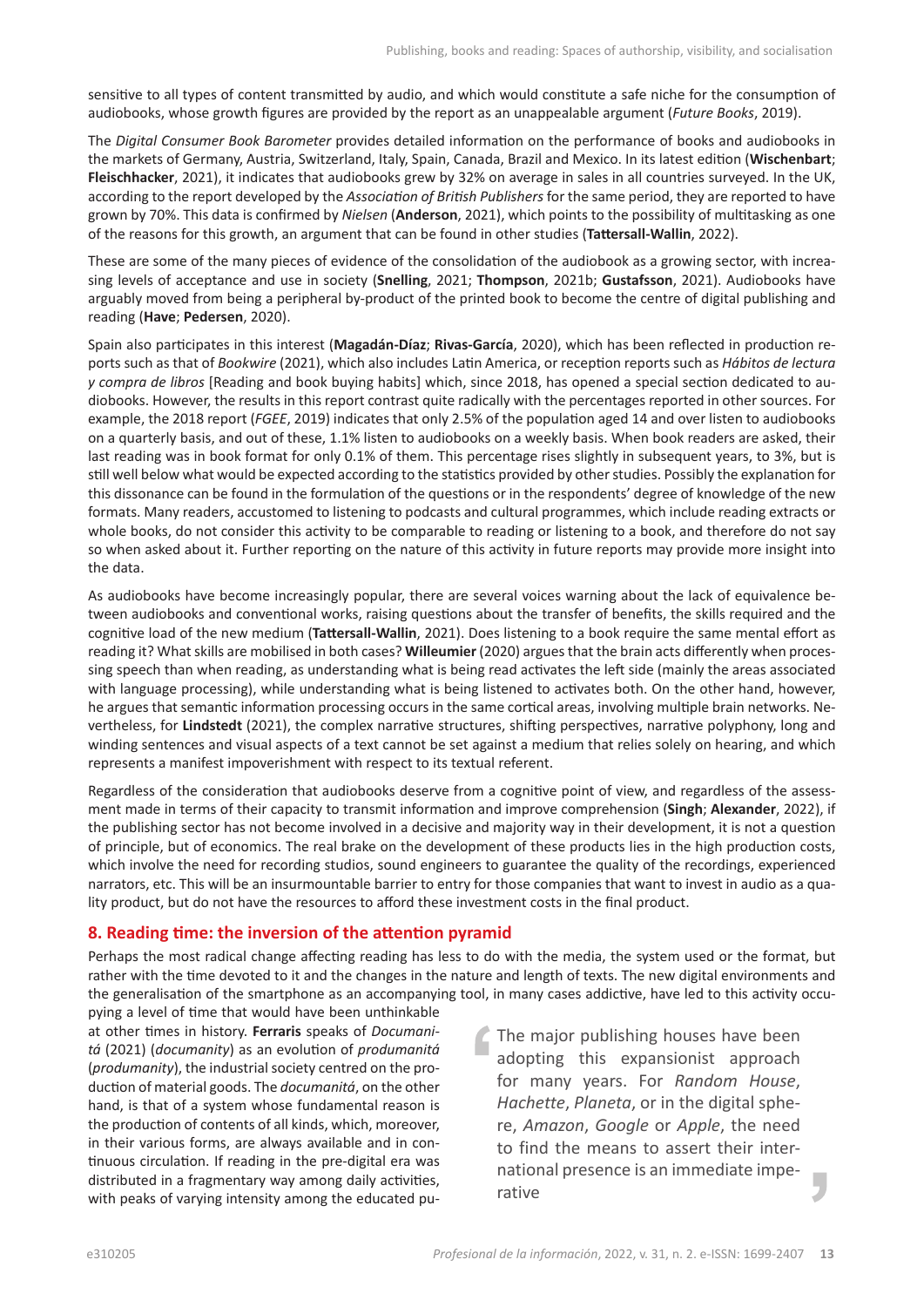sensitive to all types of content transmitted by audio, and which would constitute a safe niche for the consumption of audiobooks, whose growth figures are provided by the report as an unappealable argument (*Future Books*, 2019).

The *Digital Consumer Book Barometer* provides detailed information on the performance of books and audiobooks in the markets of Germany, Austria, Switzerland, Italy, Spain, Canada, Brazil and Mexico. In its latest edition (**Wischenbart**; **Fleischhacker**, 2021), it indicates that audiobooks grew by 32% on average in sales in all countries surveyed. In the UK, according to the report developed by the *Association of British Publishers* for the same period, they are reported to have grown by 70%. This data is confirmed by *Nielsen* (**Anderson**, 2021), which points to the possibility of multitasking as one of the reasons for this growth, an argument that can be found in other studies (**Tattersall-Wallin**, 2022).

These are some of the many pieces of evidence of the consolidation of the audiobook as a growing sector, with increasing levels of acceptance and use in society (**Snelling**, 2021; **Thompson**, 2021b; **Gustafsson**, 2021). Audiobooks have arguably moved from being a peripheral by-product of the printed book to become the centre of digital publishing and reading (**Have**; **Pedersen**, 2020).

Spain also participates in this interest (**Magadán-Díaz**; **Rivas-García**, 2020), which has been reflected in production reports such as that of *Bookwire* (2021), which also includes Latin America, or reception reports such as *Hábitos de lectura y compra de libros* [Reading and book buying habits] which, since 2018, has opened a special section dedicated to audiobooks. However, the results in this report contrast quite radically with the percentages reported in other sources. For example, the 2018 report (*FGEE*, 2019) indicates that only 2.5% of the population aged 14 and over listen to audiobooks on a quarterly basis, and out of these, 1.1% listen to audiobooks on a weekly basis. When book readers are asked, their last reading was in book format for only 0.1% of them. This percentage rises slightly in subsequent years, to 3%, but is still well below what would be expected according to the statistics provided by other studies. Possibly the explanation for this dissonance can be found in the formulation of the questions or in the respondents' degree of knowledge of the new formats. Many readers, accustomed to listening to podcasts and cultural programmes, which include reading extracts or whole books, do not consider this activity to be comparable to reading or listening to a book, and therefore do not say so when asked about it. Further reporting on the nature of this activity in future reports may provide more insight into the data.

As audiobooks have become increasingly popular, there are several voices warning about the lack of equivalence between audiobooks and conventional works, raising questions about the transfer of benefits, the skills required and the cognitive load of the new medium (**Tattersall-Wallin**, 2021). Does listening to a book require the same mental effort as reading it? What skills are mobilised in both cases? **Willeumier** (2020) argues that the brain acts differently when processing speech than when reading, as understanding what is being read activates the left side (mainly the areas associated with language processing), while understanding what is being listened to activates both. On the other hand, however, he argues that semantic information processing occurs in the same cortical areas, involving multiple brain networks. Nevertheless, for **Lindstedt** (2021), the complex narrative structures, shifting perspectives, narrative polyphony, long and winding sentences and visual aspects of a text cannot be set against a medium that relies solely on hearing, and which represents a manifest impoverishment with respect to its textual referent.

Regardless of the consideration that audiobooks deserve from a cognitive point of view, and regardless of the assessment made in terms of their capacity to transmit information and improve comprehension (**Singh**; **Alexander**, 2022), if the publishing sector has not become involved in a decisive and majority way in their development, it is not a question of principle, but of economics. The real brake on the development of these products lies in the high production costs, which involve the need for recording studios, sound engineers to guarantee the quality of the recordings, experienced narrators, etc. This will be an insurmountable barrier to entry for those companies that want to invest in audio as a quality product, but do not have the resources to afford these investment costs in the final product.

## **8. Reading time: the inversion of the attention pyramid**

Perhaps the most radical change affecting reading has less to do with the media, the system used or the format, but rather with the time devoted to it and the changes in the nature and length of texts. The new digital environments and the generalisation of the smartphone as an accompanying tool, in many cases addictive, have led to this activity occu-

pying a level of time that would have been unthinkable at other times in history. **Ferraris** speaks of *Documanitá* (2021) (*documanity*) as an evolution of *produmanitá* (*produmanity*), the industrial society centred on the production of material goods. The *documanitá*, on the other hand, is that of a system whose fundamental reason is the production of contents of all kinds, which, moreover, in their various forms, are always available and in continuous circulation. If reading in the pre-digital era was distributed in a fragmentary way among daily activities, with peaks of varying intensity among the educated pu-

The major publishing houses have been adopting this expansionist approach for many years. For *Random House*, *Hachette*, *Planeta*, or in the digital sphere, *Amazon*, *Google* or *Apple*, the need to find the means to assert their international presence is an immediate imperative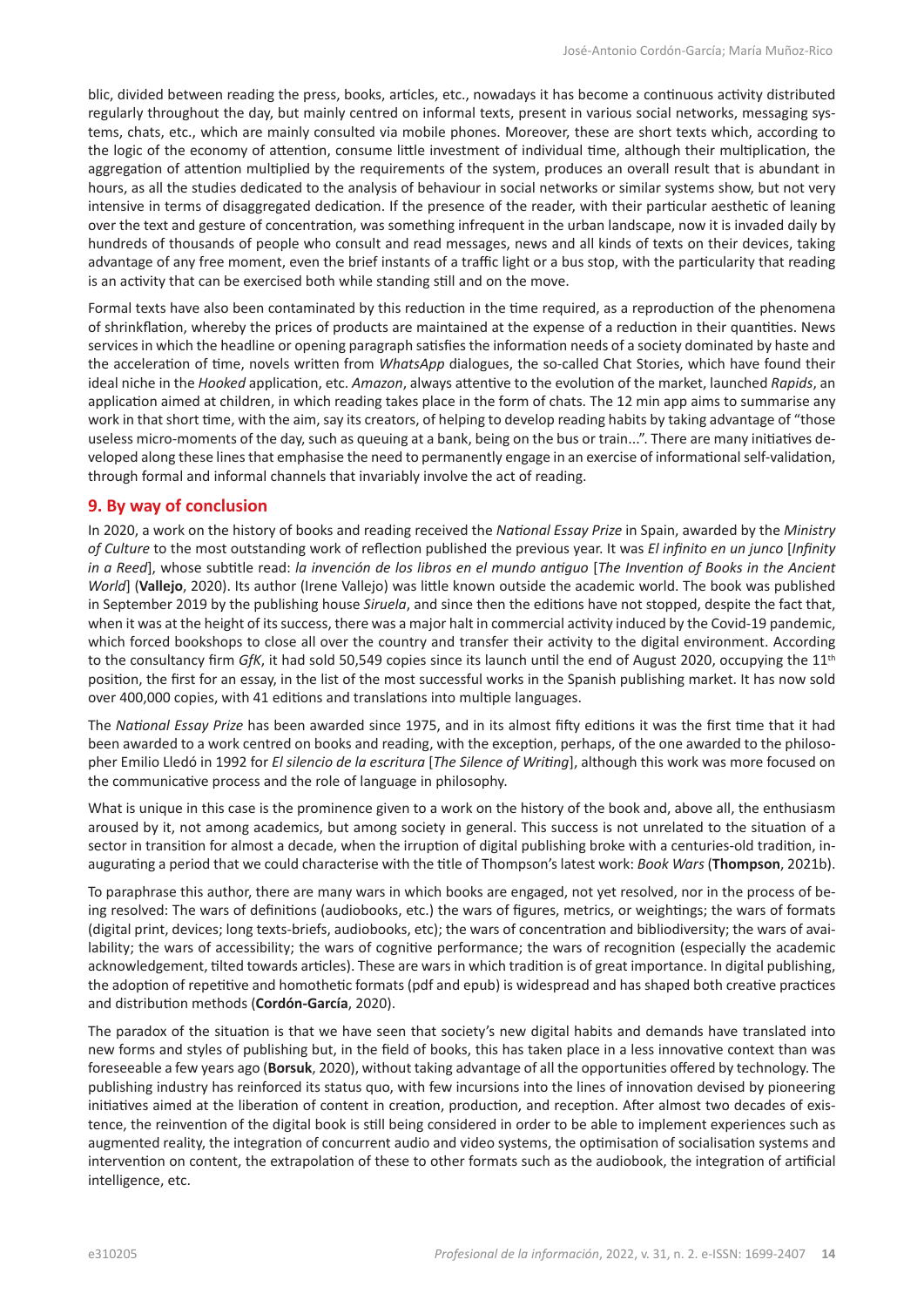blic, divided between reading the press, books, articles, etc., nowadays it has become a continuous activity distributed regularly throughout the day, but mainly centred on informal texts, present in various social networks, messaging systems, chats, etc., which are mainly consulted via mobile phones. Moreover, these are short texts which, according to the logic of the economy of attention, consume little investment of individual time, although their multiplication, the aggregation of attention multiplied by the requirements of the system, produces an overall result that is abundant in hours, as all the studies dedicated to the analysis of behaviour in social networks or similar systems show, but not very intensive in terms of disaggregated dedication. If the presence of the reader, with their particular aesthetic of leaning over the text and gesture of concentration, was something infrequent in the urban landscape, now it is invaded daily by hundreds of thousands of people who consult and read messages, news and all kinds of texts on their devices, taking advantage of any free moment, even the brief instants of a traffic light or a bus stop, with the particularity that reading is an activity that can be exercised both while standing still and on the move.

Formal texts have also been contaminated by this reduction in the time required, as a reproduction of the phenomena of shrinkflation, whereby the prices of products are maintained at the expense of a reduction in their quantities. News services in which the headline or opening paragraph satisfies the information needs of a society dominated by haste and the acceleration of time, novels written from *WhatsApp* dialogues, the so-called Chat Stories, which have found their ideal niche in the *Hooked* application, etc. *Amazon*, always attentive to the evolution of the market, launched *Rapids*, an application aimed at children, in which reading takes place in the form of chats. The 12 min app aims to summarise any work in that short time, with the aim, say its creators, of helping to develop reading habits by taking advantage of "those useless micro-moments of the day, such as queuing at a bank, being on the bus or train...". There are many initiatives developed along these lines that emphasise the need to permanently engage in an exercise of informational self-validation, through formal and informal channels that invariably involve the act of reading.

### **9. By way of conclusion**

In 2020, a work on the history of books and reading received the *National Essay Prize* in Spain, awarded by the *Ministry of Culture* to the most outstanding work of reflection published the previous year. It was *El infinito en un junco* [*Infinity in a Reed*], whose subtitle read: *la invención de los libros en el mundo antiguo* [*The Invention of Books in the Ancient World*] (**Vallejo**, 2020). Its author (Irene Vallejo) was little known outside the academic world. The book was published in September 2019 by the publishing house *Siruela*, and since then the editions have not stopped, despite the fact that, when it was at the height of its success, there was a major halt in commercial activity induced by the Covid-19 pandemic, which forced bookshops to close all over the country and transfer their activity to the digital environment. According to the consultancy firm *GfK*, it had sold 50,549 copies since its launch until the end of August 2020, occupying the 11<sup>th</sup> position, the first for an essay, in the list of the most successful works in the Spanish publishing market. It has now sold over 400,000 copies, with 41 editions and translations into multiple languages.

The *National Essay Prize* has been awarded since 1975, and in its almost fifty editions it was the first time that it had been awarded to a work centred on books and reading, with the exception, perhaps, of the one awarded to the philosopher Emilio Lledó in 1992 for *El silencio de la escritura* [*The Silence of Writing*], although this work was more focused on the communicative process and the role of language in philosophy.

What is unique in this case is the prominence given to a work on the history of the book and, above all, the enthusiasm aroused by it, not among academics, but among society in general. This success is not unrelated to the situation of a sector in transition for almost a decade, when the irruption of digital publishing broke with a centuries-old tradition, inaugurating a period that we could characterise with the title of Thompson's latest work: *Book Wars* (**Thompson**, 2021b).

To paraphrase this author, there are many wars in which books are engaged, not yet resolved, nor in the process of being resolved: The wars of definitions (audiobooks, etc.) the wars of figures, metrics, or weightings; the wars of formats (digital print, devices; long texts-briefs, audiobooks, etc); the wars of concentration and bibliodiversity; the wars of availability; the wars of accessibility; the wars of cognitive performance; the wars of recognition (especially the academic acknowledgement, tilted towards articles). These are wars in which tradition is of great importance. In digital publishing, the adoption of repetitive and homothetic formats (pdf and epub) is widespread and has shaped both creative practices and distribution methods (**Cordón-García**, 2020).

The paradox of the situation is that we have seen that society's new digital habits and demands have translated into new forms and styles of publishing but, in the field of books, this has taken place in a less innovative context than was foreseeable a few years ago (**Borsuk**, 2020), without taking advantage of all the opportunities offered by technology. The publishing industry has reinforced its status quo, with few incursions into the lines of innovation devised by pioneering initiatives aimed at the liberation of content in creation, production, and reception. After almost two decades of existence, the reinvention of the digital book is still being considered in order to be able to implement experiences such as augmented reality, the integration of concurrent audio and video systems, the optimisation of socialisation systems and intervention on content, the extrapolation of these to other formats such as the audiobook, the integration of artificial intelligence, etc.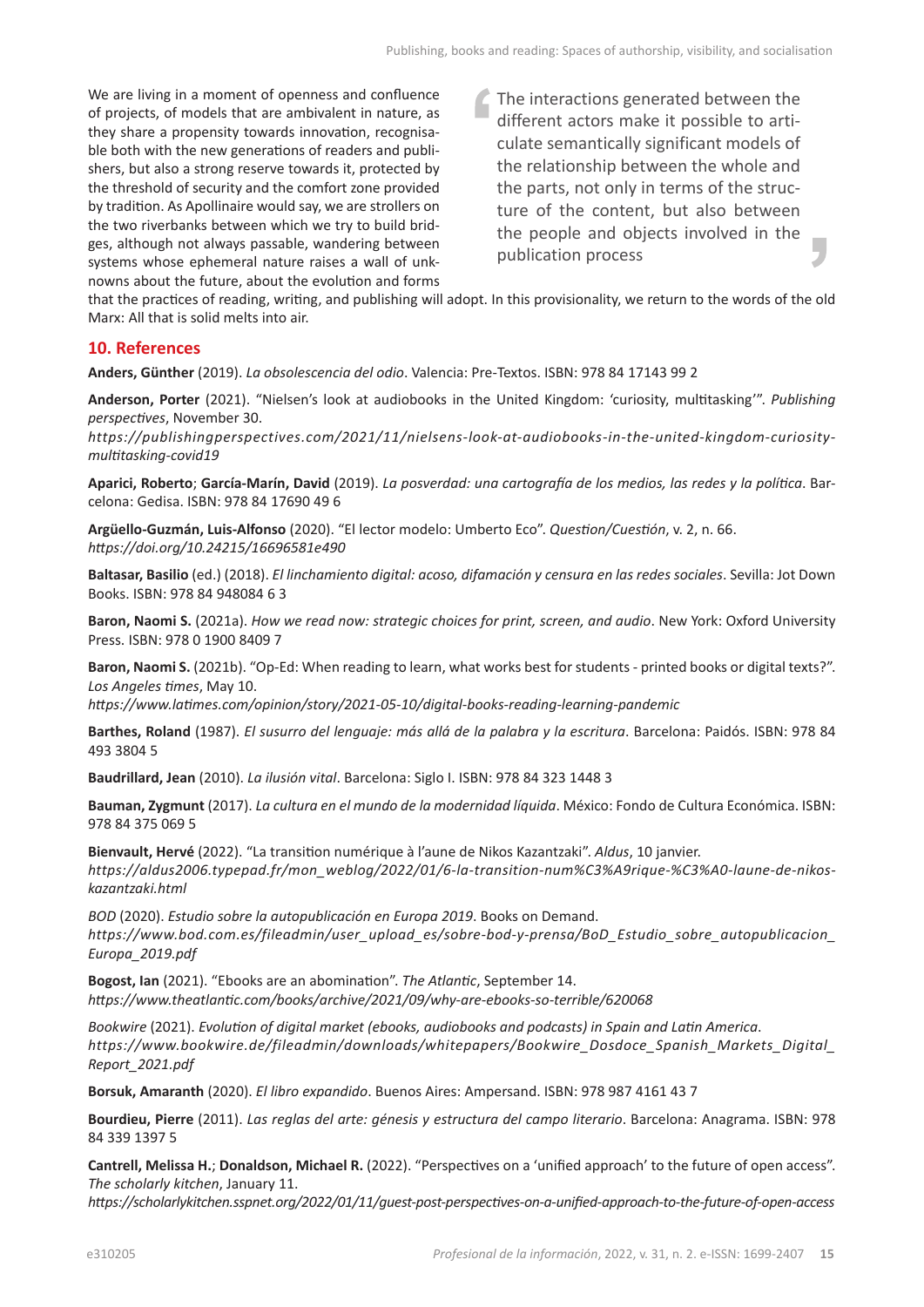We are living in a moment of openness and confluence of projects, of models that are ambivalent in nature, as they share a propensity towards innovation, recognisable both with the new generations of readers and publishers, but also a strong reserve towards it, protected by the threshold of security and the comfort zone provided by tradition. As Apollinaire would say, we are strollers on the two riverbanks between which we try to build bridges, although not always passable, wandering between systems whose ephemeral nature raises a wall of unknowns about the future, about the evolution and forms The interactions generated between the different actors make it possible to articulate semantically significant models of the relationship between the whole and the parts, not only in terms of the structure of the content, but also between the people and objects involved in the publication process

that the practices of reading, writing, and publishing will adopt. In this provisionality, we return to the words of the old Marx: All that is solid melts into air.

## **10. References**

**Anders, Günther** (2019). *La obsolescencia del odio*. Valencia: Pre-Textos. ISBN: 978 84 17143 99 2

**Anderson, Porter** (2021). "Nielsen's look at audiobooks in the United Kingdom: 'curiosity, multitasking'". *Publishing perspectives*, November 30.

*[https://publishingperspectives.com/2021/11/nielsens-look-at-audiobooks-in-the-united-kingdom-curiosity](https://publishingperspectives.com/2021/11/nielsens-look-at-audiobooks-in-the-united-kingdom-curiosity-multitasking-covid19)[multitasking-covid19](https://publishingperspectives.com/2021/11/nielsens-look-at-audiobooks-in-the-united-kingdom-curiosity-multitasking-covid19)*

**Aparici, Roberto**; **García-Marín, David** (2019). *La posverdad: una cartografía de los medios, las redes y la política*. Barcelona: Gedisa. ISBN: 978 84 17690 49 6

**Argüello-Guzmán, Luis-Alfonso** (2020). "El lector modelo: Umberto Eco". *Question/Cuestión*, v. 2, n. 66. *<https://doi.org/10.24215/16696581e490>*

**Baltasar, Basilio** (ed.) (2018). *El linchamiento digital: acoso, difamación y censura en las redes sociales*. Sevilla: Jot Down Books. ISBN: 978 84 948084 6 3

**Baron, Naomi S.** (2021a). *How we read now: strategic choices for print, screen, and audio*. New York: Oxford University Press. ISBN: 978 0 1900 8409 7

**Baron, Naomi S.** (2021b). "Op-Ed: When reading to learn, what works best for students - printed books or digital texts?". *Los Angeles times*, May 10.

*<https://www.latimes.com/opinion/story/2021-05-10/digital-books-reading-learning-pandemic>*

**Barthes, Roland** (1987). *El susurro del lenguaje: más allá de la palabra y la escritura*. Barcelona: Paidós. ISBN: 978 84 493 3804 5

**Baudrillard, Jean** (2010). *La ilusión vital*. Barcelona: Siglo I. ISBN: 978 84 323 1448 3

**Bauman, Zygmunt** (2017). *La cultura en el mundo de la modernidad líquida*. México: Fondo de Cultura Económica. ISBN: 978 84 375 069 5

**Bienvault, Hervé** (2022). "La transition numérique à l'aune de Nikos Kazantzaki". *Aldus*, 10 janvier. [https://aldus2006.typepad.fr/mon\\_weblog/2022/01/6-la-transition-num%C3%A9rique-%C3%A0-laune-de-nikos](https://aldus2006.typepad.fr/mon_weblog/2022/01/6-la-transition-num%C3%A9rique-%C3%A0-laune-de-nikos-kazantzaki.html)*[kazantzaki.html](https://aldus2006.typepad.fr/mon_weblog/2022/01/6-la-transition-num%C3%A9rique-%C3%A0-laune-de-nikos-kazantzaki.html)*

*BOD* (2020). *Estudio sobre la autopublicación en Europa 2019*. Books on Demand. *[https://www.bod.com.es/fileadmin/user\\_upload\\_es/sobre-bod-y-prensa/BoD\\_Estudio\\_sobre\\_autopublicacion\\_](https://www.bod.com.es/fileadmin/user_upload_es/sobre-bod-y-prensa/BoD_Estudio_sobre_autopublicacion_Europa_2019.pdf) [Europa\\_2019.pdf](https://www.bod.com.es/fileadmin/user_upload_es/sobre-bod-y-prensa/BoD_Estudio_sobre_autopublicacion_Europa_2019.pdf)*

**Bogost, Ian** (2021). "Ebooks are an abomination". *The Atlantic*, September 14. *<https://www.theatlantic.com/books/archive/2021/09/why-are-ebooks-so-terrible/620068>*

*Bookwire* (2021). *Evolution of digital market (ebooks, audiobooks and podcasts) in Spain and Latin America*. *[https://www.bookwire.de/fileadmin/downloads/whitepapers/Bookwire\\_Dosdoce\\_Spanish\\_Markets\\_Digital\\_](https://www.bookwire.de/fileadmin/downloads/whitepapers/Bookwire_Dosdoce_Spanish_Markets_Digital_Report_2021.pdf) [Report\\_2021.pdf](https://www.bookwire.de/fileadmin/downloads/whitepapers/Bookwire_Dosdoce_Spanish_Markets_Digital_Report_2021.pdf)*

**Borsuk, Amaranth** (2020). *El libro expandido*. Buenos Aires: Ampersand. ISBN: 978 987 4161 43 7

**Bourdieu, Pierre** (2011). *Las reglas del arte: génesis y estructura del campo literario*. Barcelona: Anagrama. ISBN: 978 84 339 1397 5

**Cantrell, Melissa H.**; **Donaldson, Michael R.** (2022). "Perspectives on a 'unified approach' to the future of open access". *The scholarly kitchen*, January 11.

*<https://scholarlykitchen.sspnet.org/2022/01/11/guest-post-perspectives-on-a-unified-approach-to-the-future-of-open-access>*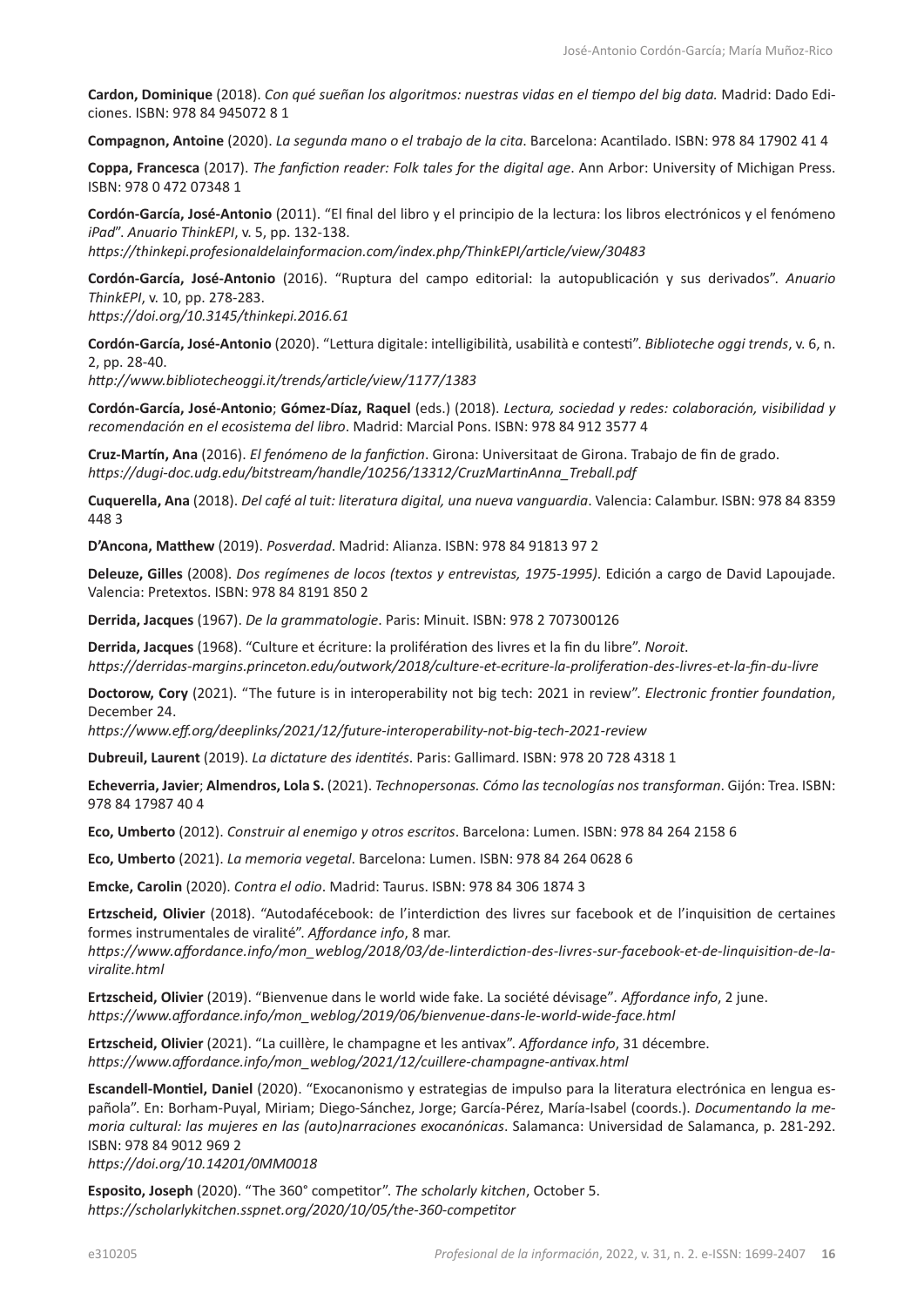**Cardon, Dominique** (2018). *Con qué sueñan los algoritmos: nuestras vidas en el tiempo del big data.* Madrid: Dado Ediciones. ISBN: 978 84 945072 8 1

**Compagnon, Antoine** (2020). *La segunda mano o el trabajo de la cita*. Barcelona: Acantilado. ISBN: 978 84 17902 41 4

**Coppa, Francesca** (2017). *The fanfiction reader: Folk tales for the digital age*. Ann Arbor: University of Michigan Press. ISBN: 978 0 472 07348 1

**Cordón-García, José-Antonio** (2011). "El final del libro y el principio de la lectura: los libros electrónicos y el fenómeno *iPad*". *Anuario ThinkEPI*, v. 5, pp. 132-138.

*<https://thinkepi.profesionaldelainformacion.com/index.php/ThinkEPI/article/view/30483>*

**Cordón-García, José-Antonio** (2016). "Ruptura del campo editorial: la autopublicación y sus derivados". *Anuario ThinkEPI*, v. 10, pp. 278-283.

*<https://doi.org/10.3145/thinkepi.2016.61>*

**Cordón-García, José-Antonio** (2020). "Lettura digitale: intelligibilità, usabilità e contesti". *Biblioteche oggi trends*, v. 6, n. 2, pp. 28-40.

*<http://www.bibliotecheoggi.it/trends/article/view/1177/1383>*

**Cordón-García, José-Antonio**; **Gómez-Díaz, Raquel** (eds.) (2018). *Lectura, sociedad y redes: colaboración, visibilidad y recomendación en el ecosistema del libro*. Madrid: Marcial Pons. ISBN: 978 84 912 3577 4

**Cruz-Martín, Ana** (2016). *El fenómeno de la fanfiction*. Girona: Universitaat de Girona. Trabajo de fin de grado. *[https://dugi-doc.udg.edu/bitstream/handle/10256/13312/CruzMartinAnna\\_Treball.pdf](https://dugi-doc.udg.edu/bitstream/handle/10256/13312/CruzMartinAnna_Treball.pdf)*

**Cuquerella, Ana** (2018). *Del café al tuit: literatura digital, una nueva vanguardia*. Valencia: Calambur. ISBN: 978 84 8359 448 3

**D'Ancona, Matthew** (2019). *Posverdad*. Madrid: Alianza. ISBN: 978 84 91813 97 2

**Deleuze, Gilles** (2008). *Dos regímenes de locos (textos y entrevistas, 1975-1995)*. Edición a cargo de David Lapoujade. Valencia: Pretextos. ISBN: 978 84 8191 850 2

**Derrida, Jacques** (1967). *De la grammatologie*. Paris: Minuit. ISBN: 978 2 707300126

**Derrida, Jacques** (1968). "Culture et écriture: la prolifération des livres et la fin du libre". *Noroit*. *<https://derridas-margins.princeton.edu/outwork/2018/culture-et-ecriture-la-proliferation-des-livres-et-la-fin-du-livre>*

**Doctorow, Cory** (2021). "The future is in interoperability not big tech: 2021 in review". *Electronic frontier foundation*, December 24.

*<https://www.eff.org/deeplinks/2021/12/future-interoperability-not-big-tech-2021-review>*

**Dubreuil, Laurent** (2019). *La dictature des identités*. Paris: Gallimard. ISBN: 978 20 728 4318 1

**Echeverria, Javier**; **Almendros, Lola S.** (2021). *Technopersonas. Cómo las tecnologías nos transforman*. Gijón: Trea. ISBN: 978 84 17987 40 4

**Eco, Umberto** (2012). *Construir al enemigo y otros escritos*. Barcelona: Lumen. ISBN: 978 84 264 2158 6

**Eco, Umberto** (2021). *La memoria vegetal*. Barcelona: Lumen. ISBN: 978 84 264 0628 6

**Emcke, Carolin** (2020). *Contra el odio*. Madrid: Taurus. ISBN: 978 84 306 1874 3

**Ertzscheid, Olivier** (2018). "Autodafécebook: de l'interdiction des livres sur facebook et de l'inquisition de certaines formes instrumentales de viralité". *Affordance info*, 8 mar.

*[https://www.affordance.info/mon\\_weblog/2018/03/de-linterdiction-des-livres-sur-facebook-et-de-linquisition-de-la](https://www.affordance.info/mon_weblog/2018/03/de-linterdiction-des-livres-sur-facebook-et-de-linquisition-de-la-viralite.html)[viralite.html](https://www.affordance.info/mon_weblog/2018/03/de-linterdiction-des-livres-sur-facebook-et-de-linquisition-de-la-viralite.html)*

**Ertzscheid, Olivier** (2019). "Bienvenue dans le world wide fake. La société dévisage"*. Affordance info*, 2 june. *[https://www.affordance.info/mon\\_weblog/2019/06/bienvenue-dans-le-world-wide-face.html](https://www.affordance.info/mon_weblog/2019/06/bienvenue-dans-le-world-wide-face.html)*

**Ertzscheid, Olivier** (2021). "La cuillère, le champagne et les antivax". *Affordance info*, 31 décembre. *[https://www.affordance.info/mon\\_weblog/2021/12/cuillere-champagne-antivax.html](https://www.affordance.info/mon_weblog/2021/12/cuillere-champagne-antivax.html)*

**Escandell-Montiel, Daniel** (2020). "Exocanonismo y estrategias de impulso para la literatura electrónica en lengua española". En: Borham-Puyal, Miriam; Diego-Sánchez, Jorge; García-Pérez, María-Isabel (coords.). *Documentando la memoria cultural: las mujeres en las (auto)narraciones exocanónicas*. Salamanca: Universidad de Salamanca, p. 281-292. ISBN: 978 84 9012 969 2

*<https://doi.org/10.14201/0MM0018>*

**Esposito, Joseph** (2020). "The 360° competitor". *The scholarly kitchen*, October 5. *<https://scholarlykitchen.sspnet.org/2020/10/05/the-360-competitor>*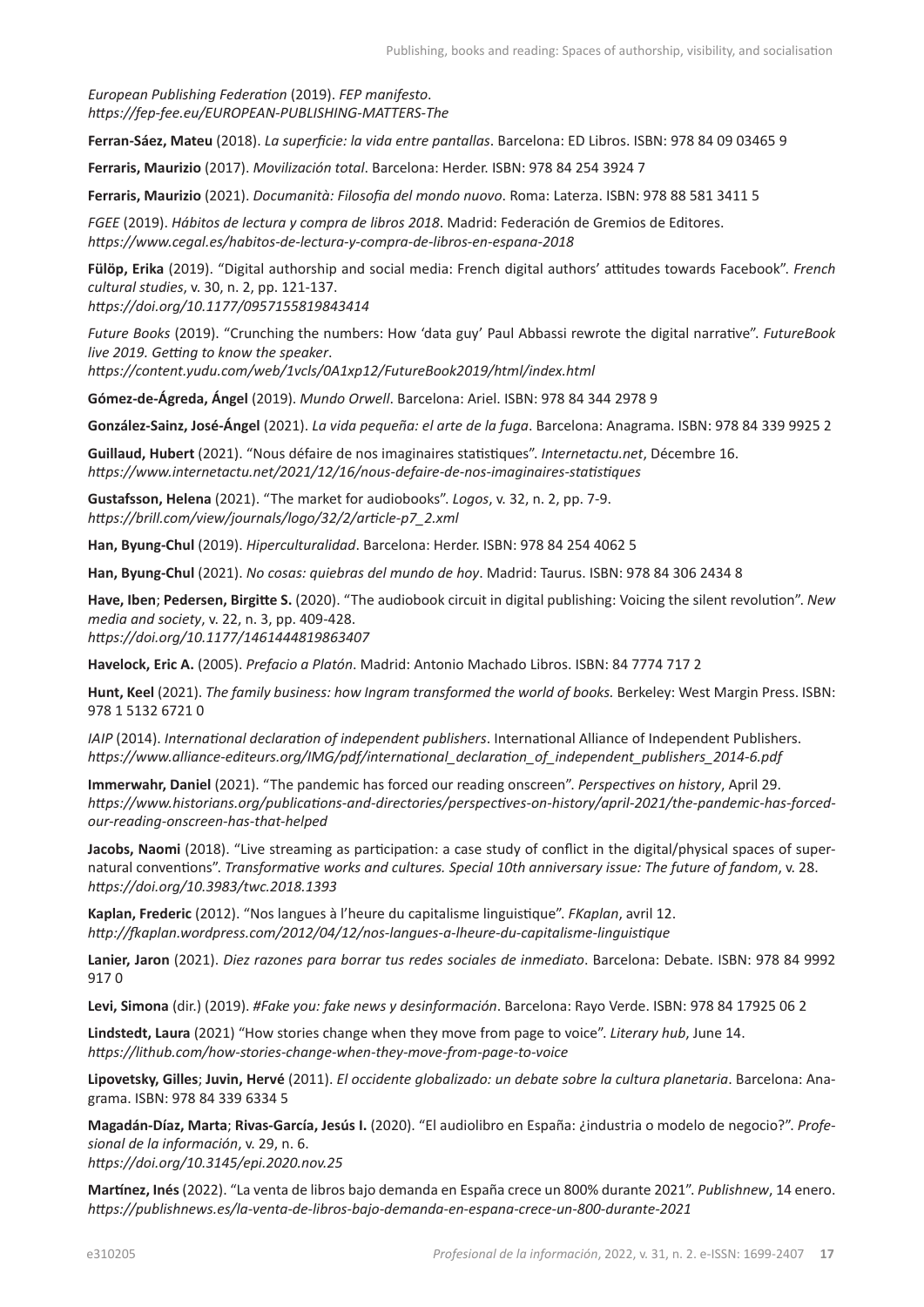*European Publishing Federation* (2019). *FEP manifesto*. *<https://fep-fee.eu/EUROPEAN-PUBLISHING-MATTERS-The>* 

**Ferran-Sáez, Mateu** (2018). *La superficie: la vida entre pantallas*. Barcelona: ED Libros. ISBN: 978 84 09 03465 9

**Ferraris, Maurizio** (2017). *Movilización total*. Barcelona: Herder. ISBN: 978 84 254 3924 7

**Ferraris, Maurizio** (2021). *Documanità: Filosofia del mondo nuovo*. Roma: Laterza. ISBN: 978 88 581 3411 5

*FGEE* (2019). *Hábitos de lectura y compra de libros 2018*. Madrid: Federación de Gremios de Editores. *<https://www.cegal.es/habitos-de-lectura-y-compra-de-libros-en-espana-2018>*

**Fülöp, Erika** (2019). "Digital authorship and social media: French digital authors' attitudes towards Facebook". *French cultural studies*, v. 30, n. 2, pp. 121-137.

*<https://doi.org/10.1177/0957155819843414>*

*Future Books* (2019). "Crunching the numbers: How 'data guy' Paul Abbassi rewrote the digital narrative". *FutureBook live 2019. Getting to know the speaker*.

*<https://content.yudu.com/web/1vcls/0A1xp12/FutureBook2019/html/index.html>*

**Gómez-de-Ágreda, Ángel** (2019). *Mundo Orwell*. Barcelona: Ariel. ISBN: 978 84 344 2978 9

**González-Sainz, José-Ángel** (2021). *La vida pequeña: el arte de la fuga*. Barcelona: Anagrama. ISBN: 978 84 339 9925 2

**Guillaud, Hubert** (2021). "Nous défaire de nos imaginaires statistiques". *Internetactu.net*, Décembre 16. *<https://www.internetactu.net/2021/12/16/nous-defaire-de-nos-imaginaires-statistiques>*

**Gustafsson, Helena** (2021). "The market for audiobooks". *Logos*, v. 32, n. 2, pp. 7-9. *[https://brill.com/view/journals/logo/32/2/article-p7\\_2.xml](https://brill.com/view/journals/logo/32/2/article-p7_2.xml)*

**Han, Byung-Chul** (2019). *Hiperculturalidad*. Barcelona: Herder. ISBN: 978 84 254 4062 5

**Han, Byung-Chul** (2021). *No cosas: quiebras del mundo de hoy*. Madrid: Taurus. ISBN: 978 84 306 2434 8

**Have, Iben**; **Pedersen, Birgitte S.** (2020). "The audiobook circuit in digital publishing: Voicing the silent revolution". *New media and society*, v. 22, n. 3, pp. 409-428. *<https://doi.org/10.1177/1461444819863407>*

**Havelock, Eric A.** (2005). *Prefacio a Platón*. Madrid: Antonio Machado Libros. ISBN: 84 7774 717 2

**Hunt, Keel** (2021). *The family business: how Ingram transformed the world of books.* Berkeley: West Margin Press. ISBN: 978 1 5132 6721 0

*IAIP* (2014). *International declaration of independent publishers*. International Alliance of Independent Publishers. *[https://www.alliance-editeurs.org/IMG/pdf/international\\_declaration\\_of\\_independent\\_publishers\\_2014-6.pdf](https://www.alliance-editeurs.org/IMG/pdf/international_declaration_of_independent_publishers_2014-6.pdf)*

**Immerwahr, Daniel** (2021). "The pandemic has forced our reading onscreen". *Perspectives on history*, April 29. *[https://www.historians.org/publications-and-directories/perspectives-on-history/april-2021/the-pandemic-has-forced](https://www.historians.org/publications-and-directories/perspectives-on-history/april-2021/the-pandemic-has-forced-our-reading-onscreen-has-that-helped)[our-reading-onscreen-has-that-helped](https://www.historians.org/publications-and-directories/perspectives-on-history/april-2021/the-pandemic-has-forced-our-reading-onscreen-has-that-helped)*

**Jacobs, Naomi** (2018). "Live streaming as participation: a case study of conflict in the digital/physical spaces of supernatural conventions". *Transformative works and cultures. Special 10th anniversary issue: The future of fandom*, v. 28. *<https://doi.org/10.3983/twc.2018.1393>*

**Kaplan, Frederic** (2012). "Nos langues à l'heure du capitalisme linguistique". *FKaplan*, avril 12. *<http://fkaplan.wordpress.com/2012/04/12/nos-langues-a-lheure-du-capitalisme-linguistique>*

**Lanier, Jaron** (2021). *Diez razones para borrar tus redes sociales de inmediato*. Barcelona: Debate. ISBN: 978 84 9992 917 0

**Levi, Simona** (dir.) (2019). *#Fake you: fake news y desinformación*. Barcelona: Rayo Verde. ISBN: 978 84 17925 06 2

**Lindstedt, Laura** (2021) "How stories change when they move from page to voice". *Literary hub*, June 14. *<https://lithub.com/how-stories-change-when-they-move-from-page-to-voice>*

**Lipovetsky, Gilles**; **Juvin, Hervé** (2011). *El occidente globalizado: un debate sobre la cultura planetaria*. Barcelona: Anagrama. ISBN: 978 84 339 6334 5

**Magadán-Díaz, Marta**; **Rivas-García, Jesús I.** (2020). "El audiolibro en España: ¿industria o modelo de negocio?". *Profesional de la información*, v. 29, n. 6. *<https://doi.org/10.3145/epi.2020.nov.25>*

**Martínez, Inés** (2022). "La venta de libros bajo demanda en España crece un 800% durante 2021". *Publishnew*, 14 enero. *<https://publishnews.es/la-venta-de-libros-bajo-demanda-en-espana-crece-un-800-durante-2021>*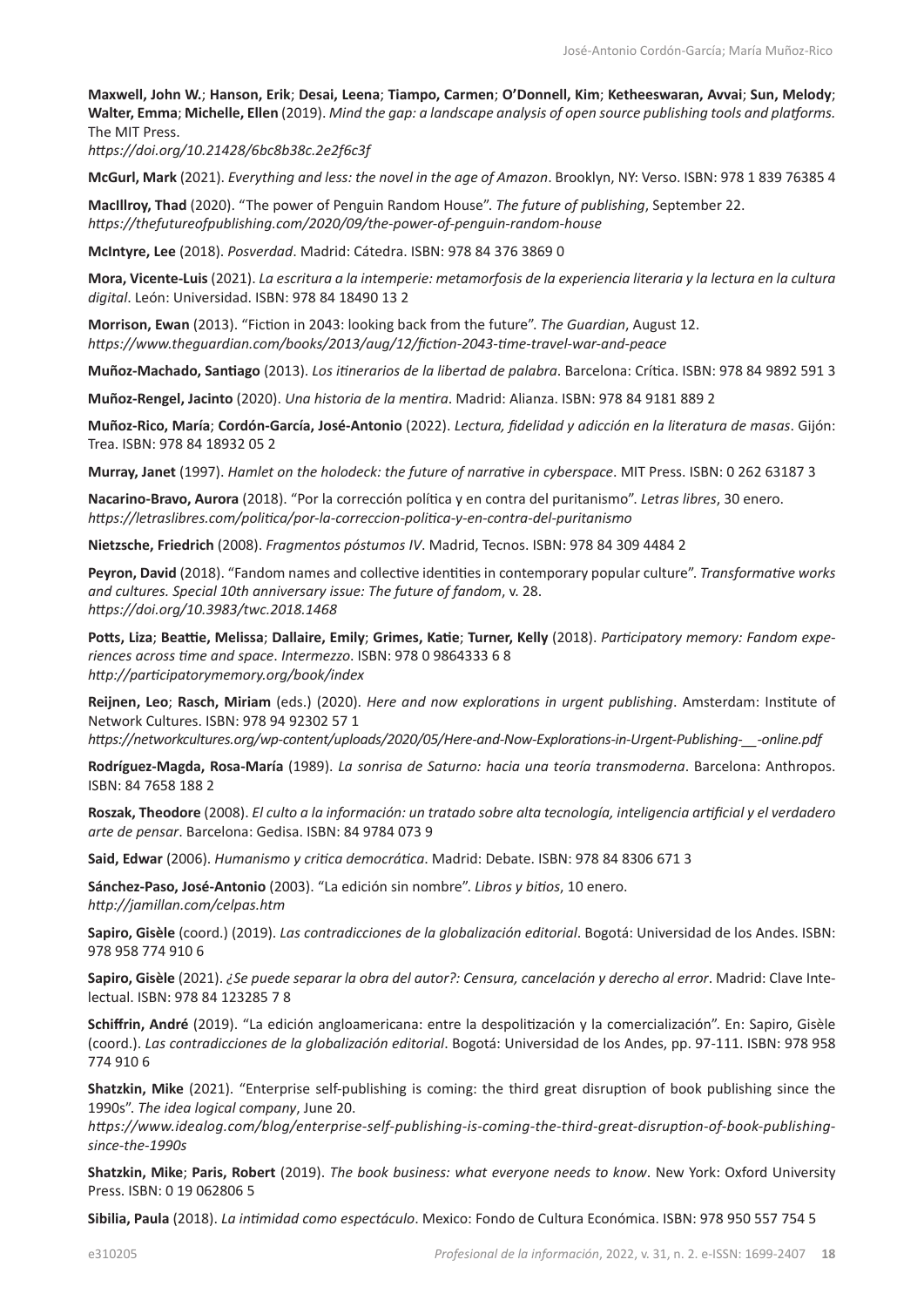**Maxwell, John W.**; **Hanson, Erik**; **Desai, Leena**; **Tiampo, Carmen**; **O'Donnell, Kim**; **Ketheeswaran, Avvai**; **Sun, Melody**; **Walter, Emma**; **Michelle, Ellen** (2019). *Mind the gap: a landscape analysis of open source publishing tools and platforms.* The MIT Press.

*<https://doi.org/10.21428/6bc8b38c.2e2f6c3f>*

**McGurl, Mark** (2021). *Everything and less: the novel in the age of Amazon*. Brooklyn, NY: Verso. ISBN: 978 1 839 76385 4

**MacIllroy, Thad** (2020). "The power of Penguin Random House". *The future of publishing*, September 22. *<https://thefutureofpublishing.com/2020/09/the-power-of-penguin-random-house>*

**McIntyre, Lee** (2018). *Posverdad*. Madrid: Cátedra. ISBN: 978 84 376 3869 0

**Mora, Vicente-Luis** (2021). *La escritura a la intemperie: metamorfosis de la experiencia literaria y la lectura en la cultura digital*. León: Universidad. ISBN: 978 84 18490 13 2

**Morrison, Ewan** (2013). "Fiction in 2043: looking back from the future". *The Guardian*, August 12. *<https://www.theguardian.com/books/2013/aug/12/fiction-2043-time-travel-war-and-peace>*

**Muñoz-Machado, Santiago** (2013). *Los itinerarios de la libertad de palabra*. Barcelona: Crítica. ISBN: 978 84 9892 591 3

**Muñoz-Rengel, Jacinto** (2020). *Una historia de la mentira*. Madrid: Alianza. ISBN: 978 84 9181 889 2

**Muñoz-Rico, María**; **Cordón-García, José-Antonio** (2022). *Lectura, fidelidad y adicción en la literatura de masas*. Gijón: Trea. ISBN: 978 84 18932 05 2

**Murray, Janet** (1997). *Hamlet on the holodeck: the future of narrative in cyberspace*. MIT Press. ISBN: 0 262 63187 3

**Nacarino-Bravo, Aurora** (2018). "Por la corrección política y en contra del puritanismo". *Letras libres*, 30 enero. *<https://letraslibres.com/politica/por-la-correccion-politica-y-en-contra-del-puritanismo>*

**Nietzsche, Friedrich** (2008). *Fragmentos póstumos IV*. Madrid, Tecnos. ISBN: 978 84 309 4484 2

**Peyron, David** (2018). "Fandom names and collective identities in contemporary popular culture". *Transformative works and cultures. Special 10th anniversary issue: The future of fandom*, v. 28. *<https://doi.org/10.3983/twc.2018.1468>*

**Potts, Liza**; **Beattie, Melissa**; **Dallaire, Emily**; **Grimes, Katie**; **Turner, Kelly** (2018). *Participatory memory: Fandom experiences across time and space*. *Intermezzo*. ISBN: 978 0 9864333 6 8 *<http://participatorymemory.org/book/index>*

**Reijnen, Leo**; **Rasch, Miriam** (eds.) (2020). *Here and now explorations in urgent publishing*. Amsterdam: Institute of Network Cultures. ISBN: 978 94 92302 57 1

*[https://networkcultures.org/wp-content/uploads/2020/05/Here-and-Now-Explorations-in-Urgent-Publishing-\\_\\_-online.pdf](https://networkcultures.org/wp-content/uploads/2020/05/Here-and-Now-Explorations-in-Urgent-Publishing-__-online.pdf)*

**Rodríguez-Magda, Rosa-María** (1989). *La sonrisa de Saturno: hacia una teoría transmoderna*. Barcelona: Anthropos. ISBN: 84 7658 188 2

**Roszak, Theodore** (2008). *El culto a la información: un tratado sobre alta tecnología, inteligencia artificial y el verdadero arte de pensar*. Barcelona: Gedisa. ISBN: 84 9784 073 9

**Said, Edwar** (2006). *Humanismo y critica democrática*. Madrid: Debate. ISBN: 978 84 8306 671 3

**Sánchez-Paso, José-Antonio** (2003). "La edición sin nombre". *Libros y bitios*, 10 enero. *<http://jamillan.com/celpas.htm>*

**Sapiro, Gisèle** (coord.) (2019). *Las contradicciones de la globalización editorial*. Bogotá: Universidad de los Andes. ISBN: 978 958 774 910 6

**Sapiro, Gisèle** (2021). *¿Se puede separar la obra del autor?: Censura, cancelación y derecho al error*. Madrid: Clave Intelectual. ISBN: 978 84 123285 7 8

**Schiffrin, André** (2019). "La edición angloamericana: entre la despolitización y la comercialización". En: Sapiro, Gisèle (coord.). *Las contradicciones de la globalización editorial*. Bogotá: Universidad de los Andes, pp. 97-111. ISBN: 978 958 774 910 6

**Shatzkin, Mike** (2021). "Enterprise self-publishing is coming: the third great disruption of book publishing since the 1990s". *The idea logical company*, June 20.

*[https://www.idealog.com/blog/enterprise-self-publishing-is-coming-the-third-great-disruption-of-book-publishing](https://www.idealog.com/blog/enterprise-self-publishing-is-coming-the-third-great-disruption-of-book-publishing-since-the-1990s)[since-the-1990s](https://www.idealog.com/blog/enterprise-self-publishing-is-coming-the-third-great-disruption-of-book-publishing-since-the-1990s)*

**Shatzkin, Mike**; **Paris, Robert** (2019). *The book business: what everyone needs to know*. New York: Oxford University Press. ISBN: 0 19 062806 5

**Sibilia, Paula** (2018). *La intimidad como espectáculo*. Mexico: Fondo de Cultura Económica. ISBN: 978 950 557 754 5